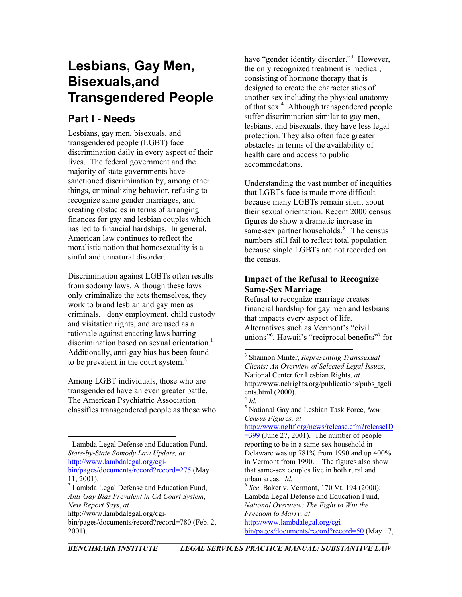# **Lesbians, Gay Men, Bisexuals,and Transgendered People**

# **Part I - Needs**

Lesbians, gay men, bisexuals, and transgendered people (LGBT) face discrimination daily in every aspect of their lives. The federal government and the majority of state governments have sanctioned discrimination by, among other things, criminalizing behavior, refusing to recognize same gender marriages, and creating obstacles in terms of arranging finances for gay and lesbian couples which has led to financial hardships. In general, American law continues to reflect the moralistic notion that homosexuality is a sinful and unnatural disorder.

Discrimination against LGBTs often results from sodomy laws. Although these laws only criminalize the acts themselves, they work to brand lesbian and gay men as criminals, deny employment, child custody and visitation rights, and are used as a rationale against enacting laws barring discrimination based on sexual orientation.<sup>1</sup> Additionally, anti-gay bias has been found to be prevalent in the court system. 2 

<span id="page-0-6"></span>Among LGBT individuals, those who are transgendered have an even greater battle. The American Psychiatric Association classifies transgendered people as those who

have "gender identity disorder."<sup>3</sup> However, the only recognized treatment is medical, consisting of hormone therapy that is designed to create the characteristics of another sex including the physical anatomy of that sex.<sup>[4](#page-0-3)</sup> Although transgendered people suffer discrimination similar to gay men, lesbians, and bisexuals, they have less legal protection. They also often face greater obstacles in terms of the availability of health care and access to public accommodations.

Understanding the vast number of inequities that LGBTs face is made more difficult because many LGBTs remain silent about their sexual orientation. Recent 2000 census figures do show a dramatic increase in same-sex partner households.<sup>[5](#page-0-4)</sup> The census numbers still fail to reflect total population because single LGBTs are not recorded on the census.

# **Impact of the Refusal to Recognize Same-Sex Marriage**

Refusal to recognize marriage creates financial hardship for gay men and lesbians that impacts every aspect of life. Alternatives such as Vermont's "civil unions"<sup>[6](#page-0-5)</sup>, Hawaii's "reciprocal benefits"<sup>[7](#page-0-6)</sup> for

[http://www.ngltf.org/news/release.cfm?releaseID](http://www.ngltf.org/news/release.cfm?releaseID=399)  $=$ 399 (June 27, 2001). The number of people reporting to be in a same-sex household in Delaware was up 781% from 1990 and up 400% in Vermont from 1990. The figures also show that same-sex couples live in both rural and urban areas. *Id.*  <sup>6</sup> *See* Baker v. Vermont, 170 Vt. 194 (2000); Lambda Legal Defense and Education Fund,

<span id="page-0-5"></span>*National Overview: The Fight to Win the Freedom to Marry, at* [http://www.lambdalegal.org/cgi](http://www.lambdalegal.org/cgi-bin/pages/documents/record?record=50)[bin/pages/documents/record?record=50](http://www.lambdalegal.org/cgi-bin/pages/documents/record?record=50) (May 17,

<span id="page-0-0"></span><sup>|&</sup>lt;br>|<br>|  $<sup>1</sup>$  Lambda Legal Defense and Education Fund,</sup> *State-by-State Somody Law Update, at* [http://www.lambdalegal.org/cgi](http://www.lambdalegal.org/cgi-bin/pages/documents/record?record=275)[bin/pages/documents/record?record=275](http://www.lambdalegal.org/cgi-bin/pages/documents/record?record=275) (May

<sup>11, 2001).</sup>

<span id="page-0-1"></span> $2$  Lambda Legal Defense and Education Fund, *Anti-Gay Bias Prevalent in CA Court System*, *New Report Says*, *at* http://www.lambdalegal.org/cgi-

bin/pages/documents/record?record=780 (Feb. 2, 2001).

<span id="page-0-2"></span> <sup>3</sup> Shannon Minter, *Representing Transsexual Clients: An Overview of Selected Legal Issues*, National Center for Lesbian Rights, *at* http://www.nclrights.org/publications/pubs\_tgcli ents.html (2000).<br><sup>4</sup> *Id*.

<span id="page-0-4"></span><span id="page-0-3"></span>National Gay and Lesbian Task Force, *New Census Figures, at*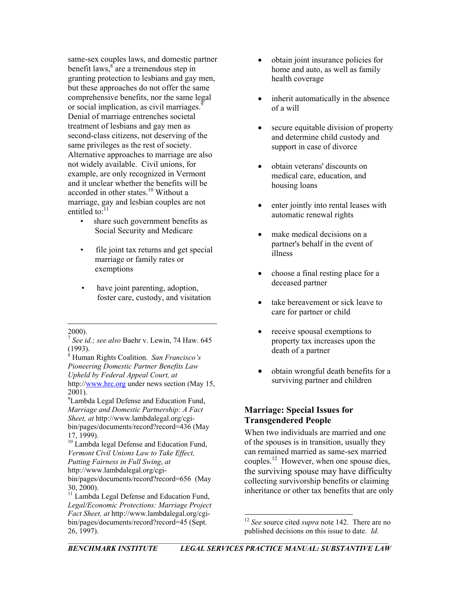same-sex couples laws, and domestic partner benefit laws,  $s^s$  are a tremendous step in granting protection to lesbians and gay men, but these approaches do not offer the same comprehensive benefits, nor the same legal or social implication, as civil marriages.<sup>[9](#page-1-1)</sup> Denial of marriage entrenches societal treatment of lesbians and gay men as second-class citizens, not deserving of the same privileges as the rest of society. Alternative approaches to marriage are also not widely available. Civil unions, for example, are only recognized in Vermont and it unclear whether the benefits will be accorded in other states.<sup>10</sup> Without a marriage, gay and lesbian couples are not entitled to: $11$ 

- share such government benefits as Social Security and Medicare • make medical decisions on a
- file joint tax returns and get special illness marriage or family rates or
- have joint parenting, adoption, the deceased partner foster care, custody, and visitation • take bereavement or sick leave to

 $\overline{a}$ 

<span id="page-1-1"></span><sup>9</sup> Lambda Legal Defense and Education Fund, *Marriage and Domestic Partnership: A Fact Sheet, at* http://www.lambdalegal.org/cgibin/pages/documents/record?record=436 (May 17, 1999).

- obtain joint insurance policies for home and auto, as well as family health coverage
- inherit automatically in the absence of a will
- secure equitable division of property and determine child custody and support in case of divorce
- obtain veterans' discounts on medical care, education, and housing loans
- enter jointly into rental leases with automatic renewal rights
- partner's behalf in the event of
- exemptions choose a final resting place for a
	- care for partner or child
	- receive spousal exemptions to property tax increases upon the death of a partner
	- obtain wrongful death benefits for a surviving partner and children

# **Marriage: Special Issues for Transgendered People**

When two individuals are married and one of the spouses is in transition, usually they can remained married as same-sex married couples.<sup>12</sup> However, when one spouse dies, the surviving spouse may have difficulty collecting survivorship benefits or claiming inheritance or other tax benefits that are only

l

<sup>2000). 7</sup> *See id.; see also* Baehr v. Lewin, 74 Haw. <sup>645</sup>  $(1993).$ 

<span id="page-1-0"></span>Human Rights Coalition. *San Francisco's Pioneering Domestic Partner Benefits Law Upheld by Federal Appeal Court, at* http://[www.hrc.org](http://www.hrc.org/) under news section (May 15, 2001).

<span id="page-1-2"></span><sup>&</sup>lt;sup>10</sup> Lambda legal Defense and Education Fund, *Vermont Civil Unions Law to Take Effect, Putting Fairness in Full Swing*, *at* http://www.lambdalegal.org/cgibin/pages/documents/record?record=656 (May

<span id="page-1-3"></span><sup>30, 2000).&</sup>lt;br> $11$  Lambda Legal Defense and Education Fund, *Legal/Economic Protections: Marriage Project Fact Sheet, at* http://www.lambdalegal.org/cgibin/pages/documents/record?record=45 (Sept. 26, 1997).

<span id="page-1-4"></span><sup>12</sup> *See* source cited *supra* note 142. There are no published decisions on this issue to date. *Id.*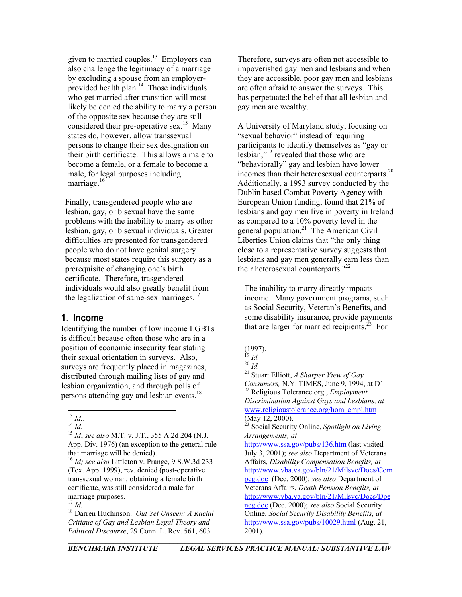given to married couples.<sup>13</sup> Employers can also challenge the legitimacy of a marriage by excluding a spouse from an employerprovided health plan. $14$  Those individuals who get married after transition will most likely be denied the ability to marry a person of the opposite sex because they are still considered their pre-operative sex.<sup>15</sup> Many states do, however, allow transsexual persons to change their sex designation on their birth certificate. This allows a male to become a female, or a female to become a male, for legal purposes including marriage.<sup>16</sup>

Finally, transgendered people who are lesbian, gay, or bisexual have the same problems with the inability to marry as other lesbian, gay, or bisexual individuals. Greater difficulties are presented for transgendered people who do not have genital surgery because most states require this surgery as a prerequisite of changing one's birth certificate. Therefore, trasgendered individuals would also greatly benefit from the legalization of same-sex marriages.<sup>[17](#page-2-4)</sup>

### **1. Income**

Identifying the number of low income LGBTs is difficult because often those who are in a position of economic insecurity fear stating their sexual orientation in surveys. Also, surveys are frequently placed in magazines, distributed through mailing lists of gay and lesbian organization, and through polls of persons attending gay and lesbian events.<sup>18</sup>

Therefore, surveys are often not accessible to impoverished gay men and lesbians and when they are accessible, poor gay men and lesbians are often afraid to answer the surveys. This has perpetuated the belief that all lesbian and gay men are wealthy.

A University of Maryland study, focusing on "sexual behavior" instead of requiring participants to identify themselves as "gay or lesbian,"[19 r](#page-2-6)evealed that those who are "behaviorally" gay and lesbian have lower incomes than their heterosexual counterparts.[20](#page-2-7)  Additionally, a 1993 survey conducted by the Dublin based Combat Poverty Agency with European Union funding, found that 21% of lesbians and gay men live in poverty in Ireland as compared to a 10% poverty level in the general population.<sup>21</sup> The American Civil Liberties Union claims that "the only thing close to a representative survey suggests that lesbians and gay men generally earn less than their heterosexual counterparts."[22](#page-2-9)

The inability to marry directly impacts income. Many government programs, such as Social Security, Veteran's Benefits, and some disability insurance, provide payments that are larger for married recipients.<sup>23</sup> For

 $\overline{a}$ 

(May 12, 2000).

<span id="page-2-0"></span>

<span id="page-2-2"></span><span id="page-2-1"></span>

<sup>13</sup> *Id.*. 14 *Id.* <sup>15</sup> *Id*; *see also* M.T. v. J.T., 355 A.2d <sup>204</sup> (N.J. App. Div. 1976) (an exception to the general rule that marriage will be denied). 16 *Id; see also* Littleton v. Prange, 9 S.W.3d <sup>233</sup>

<span id="page-2-3"></span><sup>(</sup>Tex. App. 1999), rev. denied (post-operative transsexual woman, obtaining a female birth certificate, was still considered a male for marriage purposes.

<span id="page-2-5"></span><span id="page-2-4"></span>

<sup>17</sup> *Id.* 18 Darren Huchinson. *Out Yet Unseen: A Racial Critique of Gay and Lesbian Legal Theory and Political Discourse*, 29 Conn. L. Rev. 561, 603

 $(1997).$ <sup>19</sup> Id.

<span id="page-2-6"></span>

<span id="page-2-8"></span><span id="page-2-7"></span>

<sup>19</sup> *Id.* <sup>20</sup> *Id.* 21 Stuart Elliott, *A Sharper View of Gay* 

<span id="page-2-9"></span>*Consumers,* N.Y. TIMES, June 9, 1994, at D1<sup>22</sup> Religious Tolerance.org., *Employment Discrimination Against Gays and Lesbians, at* [www.religioustolerance.org/hom\\_empl.htm](http://www.religioustolerance.org/hom_empl.htm)

<span id="page-2-10"></span><sup>23</sup> Social Security Online, *Spotlight on Living Arrangements, at*

<http://www.ssa.gov/pubs/136.htm> (last visited July 3, 2001); *see also* Department of Veterans Affairs, *Disability Compensation Benefits, at* [http://www.vba.va.gov/bln/21/Milsvc/Docs/Com](http://www.vba.va.gov/bln/21/Milsvc/Docs/Compeg.doc) [peg.doc](http://www.vba.va.gov/bln/21/Milsvc/Docs/Compeg.doc) (Dec. 2000); *see also* Department of Veterans Affairs, *Death Pension Benefits, at* [http://www.vba.va.gov/bln/21/Milsvc/Docs/Dpe](http://www.vba.va.gov/bln/21/Milsvc/Docs/Dpeneg.doc) [neg.doc](http://www.vba.va.gov/bln/21/Milsvc/Docs/Dpeneg.doc) (Dec. 2000); *see also* Social Security Online, *Social Security Disability Benefits, at*  <http://www.ssa.gov/pubs/10029.html> (Aug. 21, 2001).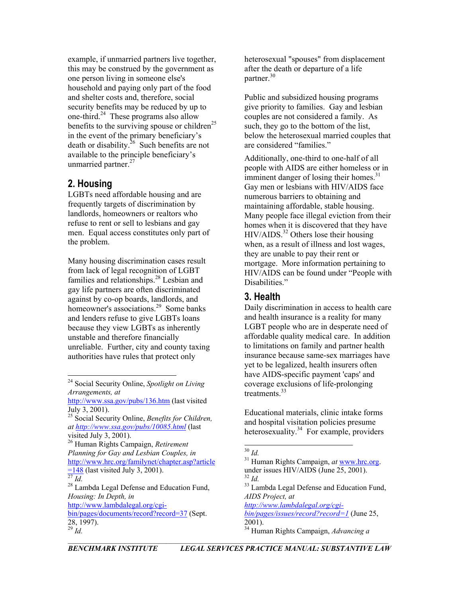example, if unmarried partners live together, this may be construed by the government as one person living in someone else's household and paying only part of the food and shelter costs and, therefore, social security benefits may be reduced by up to one-third[.24](#page-3-0) These programs also allow benefits to the surviving spouse or children<sup>[25](#page-3-1)</sup> in the event of the primary beneficiary's death or disability.<sup>26</sup> Such benefits are not available to the principle beneficiary's unmarried partner.<sup>[27](#page-3-3)</sup>

# **2. Housing**

LGBTs need affordable housing and are frequently targets of discrimination by landlords, homeowners or realtors who refuse to rent or sell to lesbians and gay men. Equal access constitutes only part of the problem.

Many housing discrimination cases result from lack of legal recognition of LGBT families and relationships.<sup>28</sup> Lesbian and gay life partners are often discriminated against by co-op boards, landlords, and homeowner's associations.<sup>29</sup> Some banks and lenders refuse to give LGBTs loans because they view LGBTs as inherently unstable and therefore financially unreliable. Further, city and county taxing authorities have rules that protect only

<span id="page-3-3"></span>

heterosexual "spouses" from displacement after the death or departure of a life partner.[30](#page-3-6)

Public and subsidized housing programs give priority to families. Gay and lesbian couples are not considered a family. As such, they go to the bottom of the list, below the heterosexual married couples that are considered "families."

Additionally, one-third to one-half of all people with AIDS are either homeless or in imminent danger of losing their homes.<sup>[31](#page-3-7)</sup> Gay men or lesbians with HIV/AIDS face numerous barriers to obtaining and maintaining affordable, stable housing. Many people face illegal eviction from their homes when it is discovered that they have  $HIV/AIDS.<sup>32</sup>$  Others lose their housing when, as a result of illness and lost wages, they are unable to pay their rent or mortgage. More information pertaining to HIV/AIDS can be found under "People with Disabilities."

# **3. Health**

Daily discrimination in access to health care and health insurance is a reality for many LGBT people who are in desperate need of affordable quality medical care. In addition to limitations on family and partner health insurance because same-sex marriages have yet to be legalized, health insurers often have AIDS-specific payment 'caps' and coverage exclusions of life-prolonging treatments.<sup>33</sup>

and hospital visitation policies presume heterosexuality.<sup>34</sup> For example, providers

*[http://www.lambdalegal.org/cgi-](http://www.lambdalegal.org/cgi-bin/pages/issues/record?record=1)*

<span id="page-3-10"></span>*[bin/pages/issues/record?record=1](http://www.lambdalegal.org/cgi-bin/pages/issues/record?record=1)* (June 25, 2001). <sup>29</sup> *Id.* 34 Human Rights Campaign, *Advancing a* 

<span id="page-3-0"></span> <sup>24</sup> Social Security Online, *Spotlight on Living Arrangements, at*

<http://www.ssa.gov/pubs/136.htm> (last visited July 3, 2001). Educational materials, clinic intake forms

<span id="page-3-1"></span><sup>25</sup> Social Security Online, *Benefits for Children, at <http://www.ssa.gov/pubs/10085.html>* (last

<span id="page-3-2"></span>visited July 3, 2001). 26 Human Rights Campaign, *Retirement Planning for Gay and Lesbian Couples, in* [http://www.hrc.org/familynet/chapter.asp?article](http://www.hrc.org/familynet/chapter.asp?article=148)

<span id="page-3-4"></span>*Housing: In Depth, in* [http://www.lambdalegal.org/cgi](http://www.lambdalegal.org/cgi-bin/pages/documents/record?record=37)[bin/pages/documents/record?record=37](http://www.lambdalegal.org/cgi-bin/pages/documents/record?record=37) (Sept.  $\frac{28}{^{29}}$  *Id.* 

<span id="page-3-5"></span>

<span id="page-3-7"></span><span id="page-3-6"></span>

<sup>&</sup>lt;sup>[27](http://www.hrc.org/familynet/chapter.asp?article=148)</sup> *Id.* <sup>32</sup> *Id.* <sup>32</sup> *Id.* <sup>32</sup> *Id.* <sup>32</sup> *Id.* <sup>32</sup> *Id.* <sup>32</sup> *Id.* <sup>33</sup> Lambda Legal Defense and Education Fund, <sup>33</sup> Lambda Legal Defense and Education Fund, <sup>30</sup> *Id.* 41 Human Rights Campaign, *at* [www.hrc.org.](http://www.hrc.org/)<br>31 Human Rights Campaign, *at* www.hrc.org.

<span id="page-3-9"></span><span id="page-3-8"></span><sup>&</sup>lt;sup>33</sup> Lambda Legal Defense and Education Fund, *AIDS Project, at*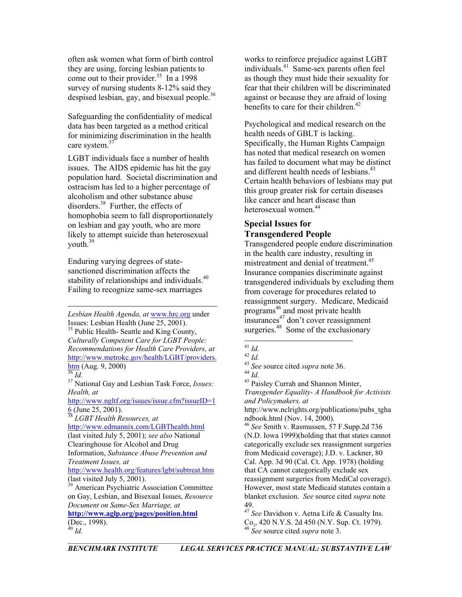often ask women what form of birth control they are using, forcing lesbian patients to come out to their provider.<sup>35</sup> In a 1998 survey of nursing students 8-12% said they despised lesbian, gay, and bisexual people.<sup>[36](#page-4-1)</sup>

Safeguarding the confidentiality of medical data has been targeted as a method critical for minimizing discrimination in the health care system.<sup>37</sup>

LGBT individuals face a number of health issues. The AIDS epidemic has hit the gay population hard. Societal discrimination and ostracism has led to a higher percentage of alcoholism and other substance abuse disorders.<sup>38</sup> Further, the effects of homophobia seem to fall disproportionately on lesbian and gay youth, who are more likely to attempt suicide than heterosexual youth. [39](#page-4-4) 

Enduring varying degrees of statesanctioned discrimination affects the stability of relationships and individuals.<sup>40</sup> Failing to recognize same-sex marriages

 $\overline{a}$ *Lesbian Health Agenda, at* [www.hrc.org](http://www.hrc.org/) under Issues: Lesbian Health (June 25, 2001). 35 Public Health- Seattle and King County,

<span id="page-4-0"></span>*Culturally Competent Care for LGBT People: Recommendations for Health Care Providers, at* [http://www.metrokc.gov/health/LGBT/providers.](http://www.metrokc.gov/health/glbt/providers.htm)  $\frac{\text{htm}}{36}$  (Aug. 9, 2000) *Culturally Competent Care for LGBT People:*<br> *Recommendations for Health Care Providers, at*<br>
<u>http://www.metrokc.gov/health/LGBT/providers.</u><br>
<sup>42</sup> *Id.*<br>
<sup>43</sup> *See* source cited *supra* note [36](http://www.metrokc.gov/health/glbt/providers.htm).<br>
<sup>44</sup> *Id.*<br>
<sup>44</sup> *Id.*<br>

<span id="page-4-2"></span>*Health, at*

[http://www.ngltf.org/issues/issue.cfm?issueID=1](http://www.ngltf.org/issues/issue.cfm?issueID=16)  $6$  (June 25, 2001).

<span id="page-4-3"></span>

[http://www.edmannix.com/LGBThealth.html](http://www.edmannix.com/glbthealth.html) (last visited July 5, 2001); *see also* National Clearinghouse for Alcohol and Drug Information, *Substance Abuse Prevention and Treatment Issues, at*

<http://www.health.org/features/lgbt/subtreat.htm> (last visited July 5, 2001).

<span id="page-4-5"></span>**<http://www.aglp.org/pages/position.html>**  $(Dec., 1998).$ <sup>40</sup> Id.

Psychological and medical research on the health needs of GBLT is lacking. Specifically, the Human Rights Campaign has noted that medical research on women has failed to document what may be distinct and different health needs of lesbians.<sup>43</sup> Certain health behaviors of lesbians may put this group greater risk for certain diseases like cancer and heart disease than heterosexual women<sup>[44](#page-4-9)</sup>

# **Special Issues for Transgendered People**

Transgendered people endure discrimination in the health care industry, resulting in mistreatment and denial of treatment.<sup>45</sup> Insurance companies discriminate against transgendered individuals by excluding them from coverage for procedures related to reassignment surgery. Medicare, Medicaid programs [46](#page-4-11) and most private health  $\frac{1}{2}$ insurances<sup>47</sup> don't cover reassignment surgeries. $48$  Some of the exclusionary

<span id="page-4-9"></span> $^{44}$  *Id.*<br> $^{45}$  Paisley Currah and Shannon Minter, *Transgender Equality- A Handbook for Activists and Policymakers, at*

http://www.nclrights.org/publications/pubs\_tgha ndbook.html (Nov. 14, 2000). 38 *LGBT Health Resources, at*

<span id="page-4-11"></span><sup>46</sup> *See* Smith v. Rasmussen, 57 F.Supp.2d 736 (N.D. Iowa 1999)(holding that that states cannot categorically exclude sex reassignment surgeries from Medicaid coverage); J.D. v. Lackner, 80 Cal. App. 3d 90 (Cal. Ct. App. 1978) (holding that CA cannot categorically exclude sex reassignment surgeries from MediCal coverage). However, most state Medicaid statutes contain a blanket exclusion. *See* source cited *supra* note 49.

<span id="page-4-13"></span><span id="page-4-12"></span><sup>47</sup> *See* Davidson v. Aetna Life & Casualty Ins. Co., 420 N.Y.S. 2d 450 (N.Y. Sup. Ct. 1979). <sup>40</sup> *Id.* <sup>48</sup> *See* source cited *supra* note 3.

<span id="page-4-1"></span>

<span id="page-4-4"></span><sup>&</sup>lt;sup>39</sup> American Psychiatric Association Committee on Gay, Lesbian, and Bisexual Issues, *Resource Document on Same-Sex Marriage, at*

works to reinforce prejudice against LGBT individuals.[41](#page-4-6) Same-sex parents often feel as though they must hide their sexuality for fear that their children will be discriminated against or because they are afraid of losing benefits to care for their children.<sup>42</sup>

<span id="page-4-6"></span>

<span id="page-4-7"></span>

<span id="page-4-8"></span>

<span id="page-4-10"></span>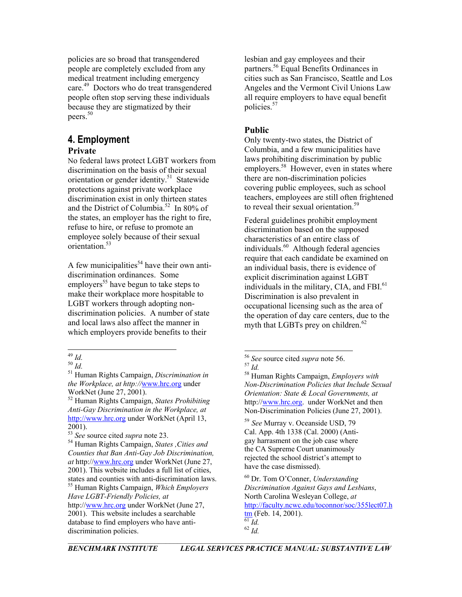policies are so broad that transgendered people are completely excluded from any medical treatment including emergency care.<sup>49</sup> Doctors who do treat transgendered people often stop serving these individuals because they are stigmatized by their peers.<sup>[50](#page-5-1)</sup>

# **4. Employment**

## **Private**

No federal laws protect LGBT workers from discrimination on the basis of their sexual orientation or gender identity.<sup>51</sup> Statewide protections against private workplace discrimination exist in only thirteen states and the District of Columbia.<sup>52</sup> In 80% of the states, an employer has the right to fire, refuse to hire, or refuse to promote an employee solely because of their sexual orientation[.53](#page-5-4) 

A few municipalities<sup>54</sup> have their own antidiscrimination ordinances. Some employers<sup>55</sup> have begun to take steps to make their workplace more hospitable to LGBT workers through adopting nondiscrimination policies. A number of state and local laws also affect the manner in which employers provide benefits to their

<span id="page-5-6"></span>55 Human Rights Campaign, *Which Employers Have LGBT-Friendly Policies, at* 

lesbian and gay employees and their partners.<sup>56</sup> Equal Benefits Ordinances in cities such as San Francisco, Seattle and Los Angeles and the Vermont Civil Unions Law all require employers to have equal benefit policies.[57](#page-5-8)

## **Public**

Only twenty-two states, the District of Columbia, and a few municipalities have laws prohibiting discrimination by public employers.<sup>58</sup> However, even in states where there are non-discrimination policies covering public employees, such as school teachers, employees are still often frightened to reveal their sexual orientation.<sup>59</sup>

Federal guidelines prohibit employment discrimination based on the supposed characteristics of an entire class of individuals.[60](#page-5-11)Although federal agencies require that each candidate be examined on an individual basis, there is evidence of explicit discrimination against LGBT individuals in the military, CIA, and FBI.<sup>61</sup> Discrimination is also prevalent in occupational licensing such as the area of the operation of day care centers, due to the myth that LGBTs prey on children.<sup>62</sup>

mp.//www.mc.org under working (April 15,<br>2001).<br><sup>59</sup> *See* Murray v. Oceanside USD, 79<br>Cal. App. 4th 1338 (Cal. 2000) (Anti-<br><sup>53</sup> *See* source cited *supra* note 23. Cal. App. 4th 1338 (Cal. 2000) (Antigay harrasment on the job case where the CA Supreme Court unanimously rejected the school district's attempt to have the case dismissed).

> <span id="page-5-13"></span><span id="page-5-12"></span><span id="page-5-11"></span>*Discrimination Against Gays and Lesbians*, North Carolina Wesleyan College, *at* [http://faculty.ncwc.edu/toconnor/soc/355lect07.h](http://faculty.ncwc.edu/toconnor/soc/355lect07.htm) [tm](http://faculty.ncwc.edu/toconnor/soc/355lect07.htm) (Feb. 14, 2001).  $\frac{44}{61}$ *Id.* <sup>62</sup> *Id.*

<span id="page-5-0"></span>

<span id="page-5-2"></span><span id="page-5-1"></span>

<sup>49</sup> *Id.* <sup>56</sup> *See* source cited *supra* note 56. 50 *Id.* <sup>57</sup> *Id.* 51 Human Rights Campaign, *Discrimination in the Workplace, at http://*[www.hrc.org](http://www.hrc.org/) under WorkNet (June 27, 2001).

<span id="page-5-3"></span><sup>52</sup> Human Rights Campaign, *States Prohibiting Anti-Gay Discrimination in the Workplace, at* [http://www.hrc.org](http://www.hrc.org/) under WorkNet (April 13,

<span id="page-5-4"></span>

<span id="page-5-5"></span><sup>&</sup>lt;sup>54</sup> Human Rights Campaign, *States , Cities and Counties that Ban Anti-Gay Job Discrimination, at* http:/[/www.hrc.org](http://www.hrc.org/) under WorkNet (June 27, 2001). This website includes a full list of cities, states and counties with anti-discrimination laws. <sup>60</sup> Dr. Tom O'Conner, *Understanding* 

http://[www.hrc.org](http://www.hrc.org/) under WorkNet (June 27, 2001). This website includes a searchable database to find employers who have antidiscrimination policies.

<span id="page-5-7"></span>

<span id="page-5-8"></span>

<span id="page-5-10"></span><span id="page-5-9"></span><sup>58</sup> Human Rights Campaign, *Employers with Non-Discrimination Policies that Include Sexual Orientation: State & Local Governments, at* http://[www.hrc.org.](http://www.hrc.org/) under WorkNet and then Non-Discrimination Policies (June 27, 2001).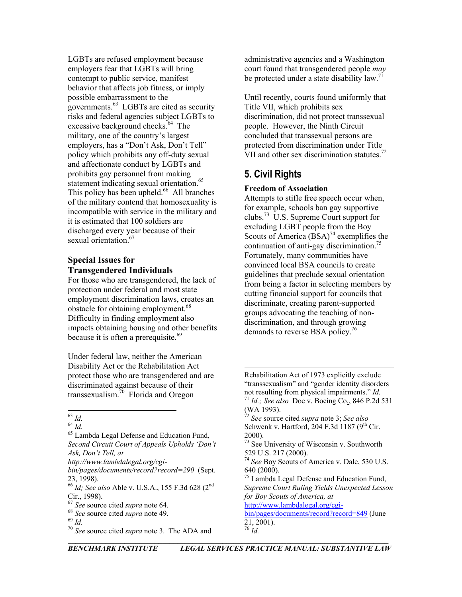LGBTs are refused employment because employers fear that LGBTs will bring contempt to public service, manifest behavior that affects job fitness, or imply possible embarrassment to the governments. $^{63}$  LGBTs are cited as security risks and federal agencies subject LGBTs to excessive background checks.<sup>64</sup> The military, one of the country's largest employers, has a "Don't Ask, Don't Tell" policy which prohibits any off-duty sexual and affectionate conduct by LGBTs and prohibits gay personnel from making statement indicating sexual orientation.<sup>65</sup> This policy has been upheld. $^{66}$  All branches of the military contend that homosexuality is incompatible with service in the military and it is estimated that 100 soldiers are discharged every year because of their sexual orientation.<sup>67</sup>

#### **Special Issues for Transgendered Individuals**

For those who are transgendered, the lack of protection under federal and most state employment discrimination laws, creates an obstacle for obtaining employment.<sup>68</sup> Difficulty in finding employment also impacts obtaining housing and other benefits because it is often a prerequisite.<sup>69</sup>

Under federal law, neither the American Disability Act or the Rehabilitation Act protect those who are transgendered and are discriminated against because of their transsexualism. $\frac{70}{10}$  Florida and Oregon

<span id="page-6-1"></span><sup>63</sup> *Id.* <sup>64</sup> *Id.* 65 Lambda Legal Defense and Education Fund, *Second Circuit Court of Appeals Upholds 'Don't Ask, Don't Tell, at*

*http://www.lambdalegal.org/cgi-*

administrative agencies and a Washington court found that transgendered people *may* be protected under a state disability law.<sup>71</sup>

Until recently, courts found uniformly that Title VII, which prohibits sex discrimination, did not protect transsexual people. However, the Ninth Circuit concluded that transsexual persons are protected from discrimination under Title VII and other sex discrimination statutes.<sup>72</sup>

# **5. Civil Rights**

 $\overline{\phantom{a}}$ 

### **Freedom of Association**

Attempts to stifle free speech occur when, for example, schools ban gay supportive clubs.[73](#page-6-10) U.S. Supreme Court support for excluding LGBT people from the Boy Scouts of America  $(BSA)^{74}$  exemplifies the continuation of anti-gay discrimination.<sup>75</sup> Fortunately, many communities have convinced local BSA councils to create guidelines that preclude sexual orientation from being a factor in selecting members by cutting financial support for councils that discriminate, creating parent-supported groups advocating the teaching of nondiscrimination, and through growing demands to reverse BSA policy.<sup>76</sup>

- <span id="page-6-11"></span>640 (2000).<br> $75$  Lambda Legal Defense and Education Fund,
- <span id="page-6-12"></span>*Supreme Court Ruling Yields Unexpected Lesson for Boy Scouts of America, at*

[http://www.lambdalegal.org/cgi-](http://www.lambdalegal.org/cgi-bin/pages/documents/record?record=849)

<span id="page-6-13"></span>[bin/pages/documents/record?record=849](http://www.lambdalegal.org/cgi-bin/pages/documents/record?record=849) (June  $21, 2001$ ). <sup>76</sup> *Id.*

<span id="page-6-0"></span> $63$   $Id$ 

<span id="page-6-2"></span>

*bin/pages/documents/record?record=290* (Sept.

<span id="page-6-3"></span><sup>23, 1998).</sup> <sup>66</sup> *Id; See also* Able v. U.S.A., 155 F.3d 628 (2nd

<span id="page-6-4"></span>

<span id="page-6-5"></span>

<span id="page-6-7"></span><span id="page-6-6"></span>

Cir., 1998).<br><sup>67</sup> *See* source cited *supra* note 64.<br><sup>68</sup> *See* source cited *supra* note 3. The ADA and <sup>70</sup> *See* source cited *supra* note 3. The ADA and

Rehabilitation Act of 1973 explicitly exclude "transsexualism" and "gender identity disorders not resulting from physical impairments." *Id.* <sup>71</sup> *Id.; See also* Doe v. Boeing Co., 846 P.2d <sup>531</sup> (WA 1993). 72 *See* source cited *supra* note 3; *See also*

<span id="page-6-9"></span><span id="page-6-8"></span>Schwenk v. Hartford, 204 F.3d 1187 ( $9<sup>th</sup>$  Cir. 2000).<br> $73$  See University of Wisconsin v. Southworth

<span id="page-6-10"></span><sup>529</sup> U.S. 217 (2000). <sup>74</sup> *See* Boy Scouts of America v. Dale, 530 U.S.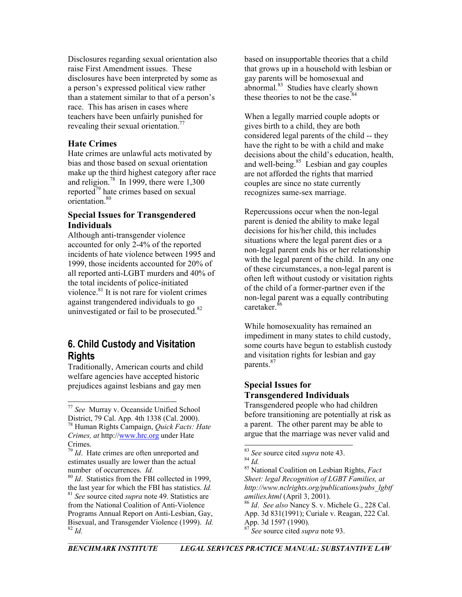Disclosures regarding sexual orientation also raise First Amendment issues. These disclosures have been interpreted by some as a person's expressed political view rather than a statement similar to that of a person's race. This has arisen in cases where teachers have been unfairly punished for revealing their sexual orientation.<sup>77</sup>

#### **Hate Crimes**

Hate crimes are unlawful acts motivated by bias and those based on sexual orientation make up the third highest category after race and religion.<sup>78</sup> In 1999, there were  $1,300$ reported $79$  hate crimes based on sexual orientation.<sup>80</sup>

#### **Special Issues for Transgendered Individuals**

Although anti-transgender violence accounted for only 2-4% of the reported incidents of hate violence between 1995 and 1999, those incidents accounted for 20% of all reported anti-LGBT murders and 40% of the total incidents of police-initiated violence. $81$  It is not rare for violent crimes against trangendered individuals to go uninvestigated or fail to be prosecuted.<sup>82</sup>

# **6. Child Custody and Visitation Rights**

Traditionally, American courts and child welfare agencies have accepted historic prejudices against lesbians and gay men

based on insupportable theories that a child that grows up in a household with lesbian or gay parents will be homosexual and  $a<sup>83</sup>$  Studies have clearly shown these theories to not be the case. $84$ 

When a legally married couple adopts or gives birth to a child, they are both considered legal parents of the child -- they have the right to be with a child and make decisions about the child's education, health, and well-being. $85$  Lesbian and gay couples are not afforded the rights that married couples are since no state currently recognizes same-sex marriage.

Repercussions occur when the non-legal parent is denied the ability to make legal decisions for his/her child, this includes situations where the legal parent dies or a non-legal parent ends his or her relationship with the legal parent of the child. In any one of these circumstances, a non-legal parent is often left without custody or visitation rights of the child of a former-partner even if the non-legal parent was a equally contributing caretaker. [86](#page-7-9)

While homosexuality has remained an impediment in many states to child custody, some courts have begun to establish custody and visitation rights for lesbian and gay parents.<sup>87</sup>

### **Special Issues for Transgendered Individuals**

Transgendered people who had children before transitioning are potentially at risk as a parent. The other parent may be able to argue that the marriage was never valid and

<sup>83</sup> *See* source cited *supra* note 43. 84 *Id.* 85 National Coalition on Lesbian Rights, *Fact Sheet: legal Recognition of LGBT Families, at http://www.nclrights.org/publications/pubs\_lgbtf amilies.html* (April 3, 2001).

<span id="page-7-10"></span><span id="page-7-9"></span><sup>86</sup> *Id*. *See also* Nancy S. v. Michele G., 228 Cal. App. 3d 831(1991); Curiale v. Reagan, 222 Cal. App. 3d 1597 (1990). <sup>82</sup> *Id.* <sup>87</sup> *See* source cited *supra* note 93.

<span id="page-7-0"></span><sup>77</sup> *See* Murray v. Oceanside Unified School

<span id="page-7-1"></span><sup>&</sup>lt;sup>78</sup> Human Rights Campaign, *Quick Facts: Hate Crimes, at* http:/[/www.hrc.org](http://www.hrc.org/) under Hate Crimes. 79 *Id*. Hate crimes are often unreported and

<span id="page-7-2"></span>estimates usually are lower than the actual number of occurrences. *Id.*

<span id="page-7-5"></span><span id="page-7-4"></span><span id="page-7-3"></span><sup>80</sup> *Id*. Statistics from the FBI collected in 1999, the last year for which the FBI has statistics. *Id.* <sup>81</sup> *See* source cited *supra* note 49. Statistics are from the National Coalition of Anti-Violence Programs Annual Report on Anti-Lesbian, Gay, Bisexual, and Transgender Violence (1999). *Id.*

<span id="page-7-6"></span>

<span id="page-7-8"></span><span id="page-7-7"></span>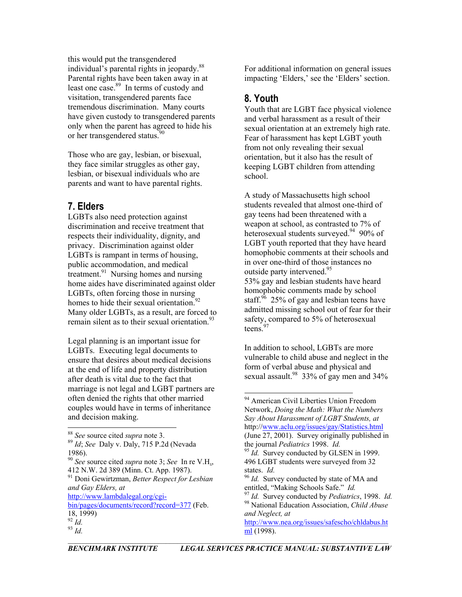this would put the transgendered individual's parental rights in jeopardy. [88](#page-8-0)  Parental rights have been taken away in at least one case.<sup>89</sup> In terms of custody and visitation, transgendered parents face tremendous discrimination. Many courts have given custody to transgendered parents only when the parent has agreed to hide his or her transgendered status.<sup>90</sup>

Those who are gay, lesbian, or bisexual, they face similar struggles as other gay, lesbian, or bisexual individuals who are parents and want to have parental rights.

# **7. Elders**

LGBTs also need protection against discrimination and receive treatment that respects their individuality, dignity, and privacy. Discrimination against older LGBTs is rampant in terms of housing, public accommodation, and medical treatment.<sup>91</sup> Nursing homes and nursing home aides have discriminated against older LGBTs, often forcing those in nursing homes to hide their sexual orientation.<sup>92</sup> Many older LGBTs, as a result, are forced to remain silent as to their sexual orientation.<sup>93</sup>

Legal planning is an important issue for LGBTs. Executing legal documents to ensure that desires about medical decisions at the end of life and property distribution after death is vital due to the fact that marriage is not legal and LGBT partners are often denied the rights that other married couples would have in terms of inheritance and decision making.

For additional information on general issues impacting 'Elders,' see the 'Elders' section.

# **8. Youth**

Youth that are LGBT face physical violence and verbal harassment as a result of their sexual orientation at an extremely high rate. Fear of harassment has kept LGBT youth from not only revealing their sexual orientation, but it also has the result of keeping LGBT children from attending school.

A study of Massachusetts high school students revealed that almost one-third of gay teens had been threatened with a weapon at school, as contrasted to 7% of heterosexual students surveyed.<sup>94</sup> 90% of LGBT youth reported that they have heard homophobic comments at their schools and in over one-third of those instances no outside party intervened.<sup>95</sup> 53% gay and lesbian students have heard homophobic comments made by school staff.<sup>96</sup> 25% of gay and lesbian teens have admitted missing school out of fear for their safety, compared to 5% of heterosexual teens.<sup>97</sup>

In addition to school, LGBTs are more vulnerable to child abuse and neglect in the form of verbal abuse and physical and sexual assault.<sup>98</sup> 33% of gay men and 34%

[http://www.nea.org/issues/safescho/chldabus.ht](http://www.nea.org/issues/safescho/chldabus.html) [ml](http://www.nea.org/issues/safescho/chldabus.html) (1998).

<span id="page-8-1"></span><span id="page-8-0"></span>

<sup>88</sup> *See* source cited *supra* note 3. <sup>89</sup> *Id*; *See* Daly v. Daly, 715 P.2d (Nevada

<span id="page-8-2"></span><sup>90</sup> *See* source cited *supra* note 3; *See* In re V.H., <sup>412</sup> N.W. 2d 389 (Minn. Ct. App. 1987). 91 Doni Gewirtzman, *Better Respect for Lesbian* 

<span id="page-8-3"></span>*and Gay Elders, at*

[http://www.lambdalegal.org/cgi](http://www.lambdalegal.org/cgi-bin/pages/documents/record?record=377)[bin/pages/documents/record?record=377](http://www.lambdalegal.org/cgi-bin/pages/documents/record?record=377) (Feb.

<sup>18, 1999)</sup> 

<span id="page-8-5"></span><span id="page-8-4"></span> $\int_{93}^{92}$  *Id.* 

<span id="page-8-6"></span><sup>&</sup>lt;sup>94</sup> American Civil Liberties Union Freedom Network, *Doing the Math: What the Numbers Say About Harassment of LGBT Students, at* http://[www.aclu.org/issues/gay/Statistics.html](http://www.aclu.org/issues/gay/Statistics.html) (June 27, 2001). Survey originally published in the journal *Pediatrics* 1998. *Id.*

<sup>1986).</sup> <sup>95</sup> *Id.* Survey conducted by GLSEN in 1999. 496 LGBT students were surveyed from 32 states. *Id.*

<span id="page-8-8"></span><span id="page-8-7"></span><sup>&</sup>lt;sup>96</sup> *Id.* Survey conducted by state of MA and entitled, "Making Schools Safe." *Id.* 

<span id="page-8-10"></span><span id="page-8-9"></span><sup>&</sup>lt;sup>97</sup> *Id.* Survey conducted by *Pediatrics*, 1998. *Id.* 98 National Education Association, *Child Abuse and Neglect, at*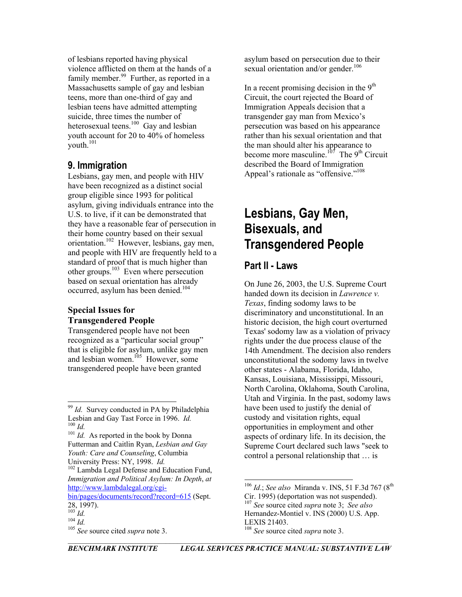of lesbians reported having physical violence afflicted on them at the hands of a family member. $99$  Further, as reported in a Massachusetts sample of gay and lesbian teens, more than one-third of gay and lesbian teens have admitted attempting suicide, three times the number of heterosexual teens.<sup>100</sup> Gay and lesbian youth account for 20 to 40% of homeless youth.<sup>[101](#page-9-2)</sup>

# **9. Immigration**

Lesbians, gay men, and people with HIV have been recognized as a distinct social group eligible since 1993 for political asylum, giving individuals entrance into the U.S. to live, if it can be demonstrated that they have a reasonable fear of persecution in their home country based on their sexual orientation[.102](#page-9-3) However, lesbians, gay men, and people with HIV are frequently held to a standard of proof that is much higher than other groups. $^{103}$  Even where persecution based on sexual orientation has already occurred, asylum has been denied.<sup>104</sup>

#### **Special Issues for Transgendered People**

Transgendered people have not been recognized as a "particular social group" that is eligible for asylum, unlike gay men and lesbian women. $105$  However, some transgendered people have been granted

<span id="page-9-2"></span><span id="page-9-1"></span>Futterman and Caitlin Ryan, *Lesbian and Gay Youth: Care and Counseling*, Columbia

<span id="page-9-3"></span><sup>102</sup> Lambda Legal Defense and Education Fund, *Immigration and Political Asylum: In Depth*, *at* [http://www.lambdalegal.org/cgi-](http://www.lambdalegal.org/cgi-bin/pages/documents/record?record=615)

[bin/pages/documents/record?record=615](http://www.lambdalegal.org/cgi-bin/pages/documents/record?record=615) (Sept. 28, 1997).<br> $^{103}$  Id.

asylum based on persecution due to their sexual orientation and/or gender.<sup>106</sup>

In a recent promising decision in the  $9<sup>th</sup>$ Circuit, the court rejected the Board of Immigration Appeals decision that a transgender gay man from Mexico's persecution was based on his appearance rather than his sexual orientation and that the man should alter his appearance to become more masculine.<sup>107</sup> The 9<sup>th</sup> Circuit described the Board of Immigration Appeal's rationale as "offensive."<sup>108</sup>

# **Lesbians, Gay Men, Bisexuals, and Transgendered People**

## **Part II - Laws**

On June 26, 2003, the U.S. Supreme Court handed down its decision in *Lawrence v. Texas*, finding sodomy laws to be discriminatory and unconstitutional. In an historic decision, the high court overturned Texas' sodomy law as a violation of privacy rights under the due process clause of the 14th Amendment. The decision also renders unconstitutional the sodomy laws in twelve other states - Alabama, Florida, Idaho, Kansas, Louisiana, Mississippi, Missouri, North Carolina, Oklahoma, South Carolina, Utah and Virginia. In the past, sodomy laws have been used to justify the denial of custody and visitation rights, equal opportunities in employment and other aspects of ordinary life. In its decision, the Supreme Court declared such laws "seek to control a personal relationship that … is

<span id="page-9-0"></span><sup>&</sup>lt;sup>99</sup> *Id.* Survey conducted in PA by Philadelphia Lesbian and Gay Tast Force in 1996. *Id.* <sup>100</sup> *Id.* As reported in the book by Donna

<span id="page-9-4"></span>

<span id="page-9-5"></span> $104$   $\overline{Id}$ .

<span id="page-9-6"></span><sup>&</sup>lt;sup>105</sup> See source cited *supra* note 3.

<span id="page-9-8"></span><span id="page-9-7"></span><sup>&</sup>lt;sup>106</sup> *Id.*; *See also* Miranda v. INS, 51 F.3d 767 (8<sup>th</sup>) Cir. 1995) (deportation was not suspended). 107 *See* source cited *supra* note 3; *See also* Hernandez-Montiel v. INS (2000) U.S. App. LEXIS 21403.<br><sup>108</sup> See source cited *supra* note 3.

<span id="page-9-9"></span>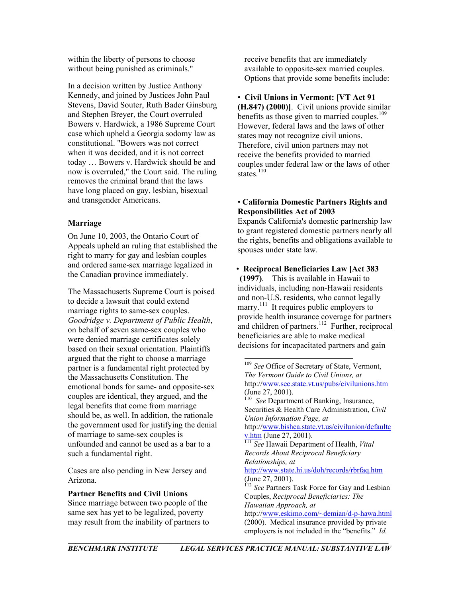within the liberty of persons to choose without being punished as criminals."

In a decision written by Justice Anthony Kennedy, and joined by Justices John Paul Stevens, David Souter, Ruth Bader Ginsburg and Stephen Breyer, the Court overruled Bowers v. Hardwick, a 1986 Supreme Court case which upheld a Georgia sodomy law as constitutional. "Bowers was not correct when it was decided, and it is not correct today … Bowers v. Hardwick should be and now is overruled," the Court said. The ruling removes the criminal brand that the laws have long placed on gay, lesbian, bisexual and transgender Americans.

#### **Marriage**

On June 10, 2003, the Ontario Court of Appeals upheld an ruling that established the right to marry for gay and lesbian couples and ordered same-sex marriage legalized in the Canadian province immediately.

The Massachusetts Supreme Court is poised to decide a lawsuit that could extend marriage rights to same-sex couples. *Goodridge v. Department of Public Health*, on behalf of seven same-sex couples who were denied marriage certificates solely based on their sexual orientation. Plaintiffs argued that the right to choose a marriage partner is a fundamental right protected by the Massachusetts Constitution. The emotional bonds for same- and opposite-sex couples are identical, they argued, and the legal benefits that come from marriage should be, as well. In addition, the rationale the government used for justifying the denial of marriage to same-sex couples is unfounded and cannot be used as a bar to a such a fundamental right.

Cases are also pending in New Jersey and Arizona.

**Partner Benefits and Civil Unions**

Since marriage between two people of the same sex has yet to be legalized, poverty may result from the inability of partners to receive benefits that are immediately available to opposite-sex married couples. Options that provide some benefits include:

• **Civil Unions in Vermont: [VT Act 91 (H.847) (2000)]**. Civil unions provide similar benefits as those given to married couples.<sup>109</sup> However, federal laws and the laws of other states may not recognize civil unions. Therefore, civil union partners may not receive the benefits provided to married couples under federal law or the laws of other states $110$ 

#### • **California Domestic Partners Rights and Responsibilities Act of 2003**

Expands California's domestic partnership law to grant registered domestic partners nearly all the rights, benefits and obligations available to spouses under state law.

 • **Reciprocal Beneficiaries Law [Act 383 (1997)**. This is available in Hawaii to individuals, including non-Hawaii residents and non-U.S. residents, who cannot legally marry.<sup>111</sup> It requires public employers to provide health insurance coverage for partners

and children of partners.<sup>112</sup> Further, reciprocal beneficiaries are able to make medical decisions for incapacitated partners and gain

<span id="page-10-3"></span><span id="page-10-2"></span><span id="page-10-1"></span><span id="page-10-0"></span> <sup>109</sup> *See* Office of Secretary of State, Vermont, *The Vermont Guide to Civil Unions, at* http://[www.sec.state.vt.us/pubs/civilunions.htm](http://www.sec.state.vt.us/pubs/civilunions.htm) (June 27, 2001). 110 *See* Department of Banking, Insurance, Securities & Health Care Administration, *Civil Union Information Page, at* http://[www.bishca.state.vt.us/civilunion/defaultc](http://www.bishca.state.vt.us/civilunion/defaultcv.htm)<br>v.htm (June 27, 2001). <sup>[111](http://www.bishca.state.vt.us/civilunion/defaultcv.htm)</sup> See Hawaii Department of Health, *Vital Records About Reciprocal Beneficiary Relationships, at* <http://www.state.hi.us/doh/records/rbrfaq.htm>  $(June 27, 2001)$ . <sup>112</sup> *See* Partners Task Force for Gay and Lesbian Couples, *Reciprocal Beneficiaries: The Hawaiian Approach, at* http://[www.eskimo.com/~demian/d-p-hawa.html](http://www.eskimo.com/~demian/d-p-hawa.html) (2000). Medical insurance provided by private employers is not included in the "benefits." *Id.*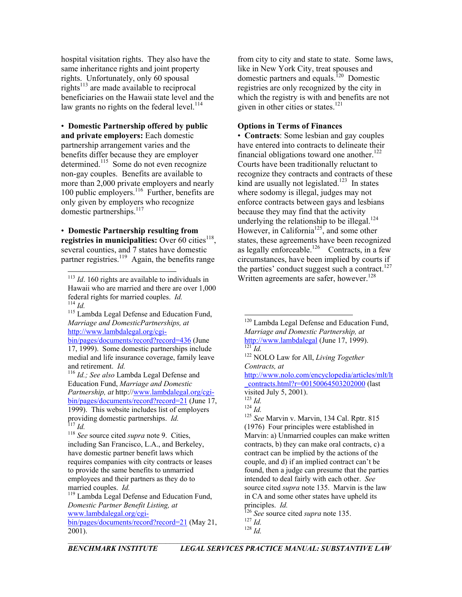hospital visitation rights. They also have the same inheritance rights and joint property rights. Unfortunately, only 60 spousal rights<sup> $113$ </sup> are made available to reciprocal beneficiaries on the Hawaii state level and the law grants no rights on the federal level. $114$ 

• **Domestic Partnership offered by public and private employers:** Each domestic partnership arrangement varies and the benefits differ because they are employer  $d$ determined.<sup>115</sup> Some do not even recognize non-gay couples. Benefits are available to more than 2,000 private employers and nearly 100 public employers.<sup>116</sup> Further, benefits are only given by employers who recognize domestic partnerships.<sup>117</sup>

• **Domestic Partnership resulting from registries in municipalities:** Over 60 cities<sup>118</sup>, several counties, and 7 states have domestic partner registries.<sup>119</sup> Again, the benefits range

<span id="page-11-2"></span><span id="page-11-1"></span>*Marriage and DomesticPartnerships, at* [http://www.lambdalegal.org/cgi](http://www.lambdalegal.org/cgi-bin/pages/documents/record?record=436)[bin/pages/documents/record?record=436](http://www.lambdalegal.org/cgi-bin/pages/documents/record?record=436) (June 17, 1999). Some domestic partnerships include medial and life insurance coverage, family leave and retirement. *Id.*

<span id="page-11-3"></span><sup>116</sup> *Id.; See also* Lambda Legal Defense and Education Fund, *Marriage and Domestic Partnership, at* http://[www.lambdalegal.org/cgi](http://www.lambdalegal.org/cgi-bin/pages/documents/record?record=21)[bin/pages/documents/record?record=21](http://www.lambdalegal.org/cgi-bin/pages/documents/record?record=21) (June 17, 1999). This website includes list of employers providing domestic partnerships. *Id.*

<span id="page-11-5"></span><span id="page-11-4"></span><sup>118</sup> *See* source cited *supra* note 9. Cities, including San Francisco, L.A., and Berkeley, have domestic partner benefit laws which requires companies with city contracts or leases to provide the same benefits to unmarried employees and their partners as they do to married couples. *Id.* **119** Lambda Legal Defense and Education Fund,

<span id="page-11-6"></span>*Domestic Partner Benefit Listing, at* [www.lambdalegal.org/cgi-](http://www.lambdalegal.org/cgi-bin/pages/documents/record?record=21)

[bin/pages/documents/record?record=21](http://www.lambdalegal.org/cgi-bin/pages/documents/record?record=21) (May 21, 2001).

from city to city and state to state. Some laws, like in New York City, treat spouses and domestic partners and equals.[120](#page-11-7) Domestic registries are only recognized by the city in which the registry is with and benefits are not given in other cities or states. $121$ 

#### **Options in Terms of Finances**

• **Contracts**: Some lesbian and gay couples have entered into contracts to delineate their financial obligations toward one another.<sup>122</sup> Courts have been traditionally reluctant to recognize they contracts and contracts of these kind are usually not legislated.<sup>123</sup> In states where sodomy is illegal, judges may not enforce contracts between gays and lesbians because they may find that the activity underlying the relationship to be illegal.<sup>124</sup> However, in California<sup>125</sup>, and some other states, these agreements have been recognized as legally enforceable.<sup>126</sup> Contracts, in a few circumstances, have been implied by courts if the parties' conduct suggest such a contract.<sup>127</sup><br>Written agreements are safer, however.<sup>128</sup>

[http://www.nolo.com/encyclopedia/articles/mlt/lt](http://www.nolo.com/encyclopedia/articles/mlt/lt_contracts.html?r=00150064503202000) [\\_contracts.html?r=00150064503202000](http://www.nolo.com/encyclopedia/articles/mlt/lt_contracts.html?r=00150064503202000) (last visited July 5, 2001).<br> $^{123}$  *Id.*<br> $^{124}$  *Id.* 

<span id="page-11-11"></span>

<span id="page-11-12"></span><sup>123</sup> *Id.* <sup>124</sup> *Id.* <sup>125</sup> *See* Marvin v. Marvin, 134 Cal. Rptr. <sup>815</sup> (1976) Four principles were established in Marvin: a) Unmarried couples can make written contracts, b) they can make oral contracts, c) a contract can be implied by the actions of the couple, and d) if an implied contract can't be found, then a judge can presume that the parties intended to deal fairly with each other. *See* source cited *supra* note 135. Marvin is the law in CA and some other states have upheld its principles. *Id.*

<span id="page-11-13"></span><sup>126</sup> *See* source cited *supra* note 135. 127 *Id.*

<span id="page-11-0"></span> $113$  *Id.* 160 rights are available to individuals in Hawaii who are married and there are over 1,000 federal rights for married couples. *Id.* <sup>114</sup> *Id.* 115 Lambda Legal Defense and Education Fund,

<span id="page-11-7"></span><sup>&</sup>lt;sup>120</sup> Lambda Legal Defense and Education Fund, *Marriage and Domestic Partnership, at*  [http://www.lambdalegal](http://www.lambdalegal/) (June 17, 1999). [121](http://www.lambdalegal/) *Id.* 122 NOLO Law for All, *Living Together* 

<span id="page-11-9"></span><span id="page-11-8"></span>*Contracts, at*

<span id="page-11-10"></span>

<span id="page-11-14"></span>

<span id="page-11-15"></span><sup>128</sup> *Id.*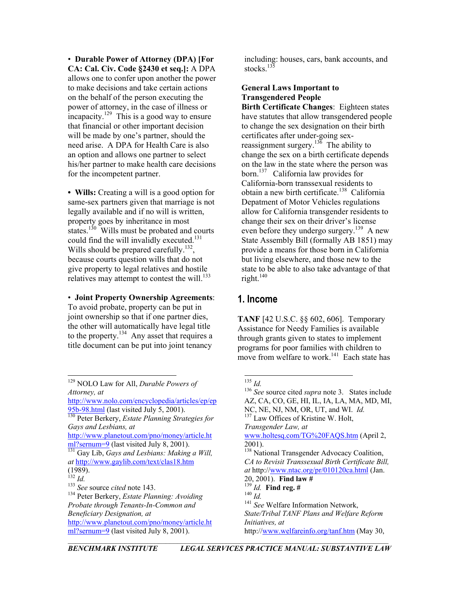• **Durable Power of Attorney (DPA) [For CA: Cal. Civ. Code §2430 et seq.]:** A DPA allows one to confer upon another the power to make decisions and take certain actions on the behalf of the person executing the power of attorney, in the case of illness or incapacity.<sup>129</sup> This is a good way to ensure that financial or other important decision will be made by one's partner, should the need arise. A DPA for Health Care is also an option and allows one partner to select his/her partner to make health care decisions for the incompetent partner.

• **Wills:** Creating a will is a good option for same-sex partners given that marriage is not legally available and if no will is written, property goes by inheritance in most states. $130$  Wills must be probated and courts could find the will invalidly executed. $131$ Wills should be prepared carefully.<sup>132</sup>, because courts question wills that do not give property to legal relatives and hostile relatives may attempt to contest the will. $^{133}$ 

• **Joint Property Ownership Agreements**:

To avoid probate, property can be put in joint ownership so that if one partner dies, the other will automatically have legal title to the property.[134](#page-12-5) Any asset that requires a title document can be put into joint tenancy

<span id="page-12-0"></span> 129 NOLO Law for All, *Durable Powers of Attorney, at*

[http://www.nolo.com/encyclopedia/articles/ep/ep](http://www.nolo.com/encyclopedia/articles/ep/ep95b-98.html) 95b-98.html (last visited July 5, 2001).

<span id="page-12-1"></span><sup>[130](http://www.nolo.com/encyclopedia/articles/ep/ep95b-98.html)</sup> Peter Berkery, *Estate Planning Strategies for Gays and Lesbians, at*

[http://www.planetout.com/pno/money/article.ht](http://www.planetout.com/pno/money/article.html?sernum=9) ml?sernum=9 (last visited July 8, 2001). 2001). [131](http://www.planetout.com/pno/money/article.html?sernum=9) Gay Lib, *Gays and Lesbians: Making a Will,* 

<span id="page-12-2"></span>*at* <http://www.gaylib.com/text/clas18.htm>

[ml?sernum=9](http://www.planetout.com/pno/money/article.html?sernum=9) (last visited July 8, 2001).

including: houses, cars, bank accounts, and stocks $13\overline{5}$ 

#### **General Laws Important to Transgendered People**

**Birth Certificate Changes**: Eighteen states have statutes that allow transgendered people to change the sex designation on their birth certificates after under-going sexreassignment surgery.<sup>136</sup> The ability to change the sex on a birth certificate depends on the law in the state where the person was born.[137](#page-12-8) California law provides for California-born transsexual residents to obtain a new birth certificate.<sup>138</sup> California Depatment of Motor Vehicles regulations allow for California transgender residents to change their sex on their driver's license even before they undergo surgery.<sup>139</sup> A new State Assembly Bill (formally AB 1851) may provide a means for those born in California but living elsewhere, and those new to the state to be able to also take advantage of that right. $140$ 

## **1. Income**

**TANF** [42 U.S.C. §§ 602, 606]. Temporary Assistance for Needy Families is available through grants given to states to implement programs for poor families with children to move from welfare to work.<sup>141</sup> Each state has

 $(1989).$ <br> $132$  *Id.* 

<span id="page-12-4"></span><span id="page-12-3"></span>

<span id="page-12-5"></span>*Probate through Tenants-In-Common and Beneficiary Designation, at* [http://www.planetout.com/pno/money/article.ht](http://www.planetout.com/pno/money/article.html?sernum=9)

<span id="page-12-12"></span><span id="page-12-11"></span><span id="page-12-10"></span><span id="page-12-9"></span><span id="page-12-8"></span><span id="page-12-7"></span><span id="page-12-6"></span>

<sup>135</sup> *Id.* <sup>136</sup> *See* source cited *supra* note 3. States include AZ, CA, CO, GE, HI, IL, IA, LA, MA, MD, MI,<br>NC, NE, NJ, NM, OR, UT, and WI. Id. <sup>137</sup> Law Offices of Kristine W. Holt, *Transgender Law, at* [www.holtesq.com/TG%20FAQS.htm](http://www.holtesq.com/TG FAQS.htm) (April 2, <sup>138</sup> National Transgender Advocacy Coalition, *CA to Revisit Transsexual Birth Certificate Bill, at* http:/[/www.ntac.org/pr/010120ca.html](http://www.ntac.org/pr/010120ca.html) (Jan. <sup>132</sup> *Id.* 20, 2001). **Find law #** <sup>133</sup> *See* source *cited* note 143. <sup>139</sup> *Id.* **Find reg.** # <sup>134</sup> Peter Berkery, *Estate Planning: Avoiding* <sup>140</sup> *Id. Id.* <sup>140</sup> *Id.* <sup>141</sup> See Welfare Information Network, *State/Tribal TANF Plans and Welfare Reform Initiatives, at* http://[www.welfareinfo.org/tanf.htm](http://www.welfareinfo.org/tanf.htm) (May 30,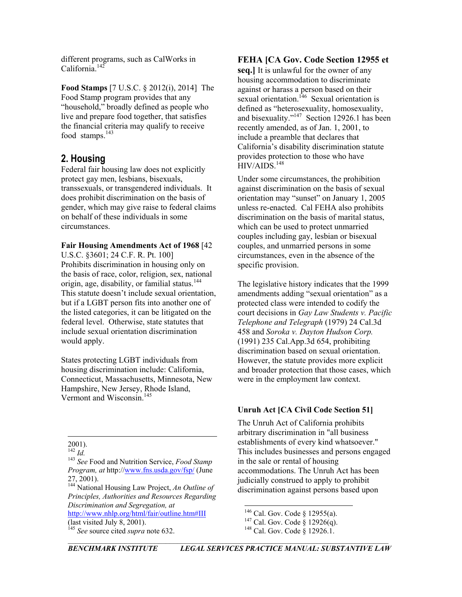different programs, such as CalWorks in California.<sup>142</sup>

**Food Stamps** [7 U.S.C. § 2012(i), 2014] The Food Stamp program provides that any "household," broadly defined as people who live and prepare food together, that satisfies the financial criteria may qualify to receive food stamps.<sup>143</sup>

# **2. Housing**

Federal fair housing law does not explicitly protect gay men, lesbians, bisexuals, transsexuals, or transgendered individuals. It does prohibit discrimination on the basis of gender, which may give raise to federal claims on behalf of these individuals in some circumstances.

#### **Fair Housing Amendments Act of 1968** [42

U.S.C. §3601; 24 C.F. R. Pt. 100] Prohibits discrimination in housing only on the basis of race, color, religion, sex, national origin, age, disability, or familial status.<sup>144</sup> This statute doesn't include sexual orientation, but if a LGBT person fits into another one of the listed categories, it can be litigated on the federal level. Otherwise, state statutes that include sexual orientation discrimination would apply.

States protecting LGBT individuals from housing discrimination include: California, Connecticut, Massachusetts, Minnesota, New Hampshire, New Jersey, Rhode Island, Vermont and Wisconsin.<sup>[145](#page-13-3)</sup>

 $\overline{\phantom{a}}$ 

<span id="page-13-3"></span><span id="page-13-2"></span>*Principles, Authorities and Resources Regarding Discrimination and Segregation, at* [http://www.nhlp.org/html/fair/outline.htm#III](http://www.nhlp.org/html/fair/outline.htm) (last visited July 8, 2001). <sup>145</sup> See source cited *supra* note 632.

### **FEHA [CA Gov. Code Section 12955 et**

**seq.]** It is unlawful for the owner of any housing accommodation to discriminate against or harass a person based on their sexual orientation.<sup>146</sup> Sexual orientation is defined as "heterosexuality, homosexuality, and bisexuality."<sup>147</sup> Section 12926.1 has been recently amended, as of Jan. 1, 2001, to include a preamble that declares that California's disability discrimination statute provides protection to those who have  $HIV/AIDS.<sup>148</sup>$ 

Under some circumstances, the prohibition against discrimination on the basis of sexual orientation may "sunset" on January 1, 2005 unless re-enacted. Cal FEHA also prohibits discrimination on the basis of marital status, which can be used to protect unmarried couples including gay, lesbian or bisexual couples, and unmarried persons in some circumstances, even in the absence of the specific provision.

The legislative history indicates that the 1999 amendments adding "sexual orientation" as a protected class were intended to codify the court decisions in *Gay Law Students v. Pacific Telephone and Telegraph* (1979) 24 Cal.3d 458 and *Soroka v. Dayton Hudson Corp.* (1991) 235 Cal.App.3d 654, prohibiting discrimination based on sexual orientation. However, the statute provides more explicit and broader protection that those cases, which were in the employment law context.

#### **Unruh Act [CA Civil Code Section 51]**

The Unruh Act of California prohibits arbitrary discrimination in "all business establishments of every kind whatsoever." This includes businesses and persons engaged in the sale or rental of housing accommodations. The Unruh Act has been judicially construed to apply to prohibit discrimination against persons based upon

<span id="page-13-1"></span><span id="page-13-0"></span>

<sup>2001). 142</sup> *Id.* <sup>143</sup> *See* Food and Nutrition Service, *Food Stamp Program, at* http:/[/www.fns.usda.gov/fsp/](http://www.fns.usda.gov/fsp/) (June 27, 2001). 144 National Housing Law Project, *An Outline of* 

<span id="page-13-4"></span><sup>&</sup>lt;sup>146</sup> Cal. Gov. Code § 12955(a).<br><sup>147</sup> Cal. Gov. Code § 12926(q).<br><sup>148</sup> Cal. Gov. Code § 12926.1.

<span id="page-13-5"></span>

<span id="page-13-6"></span>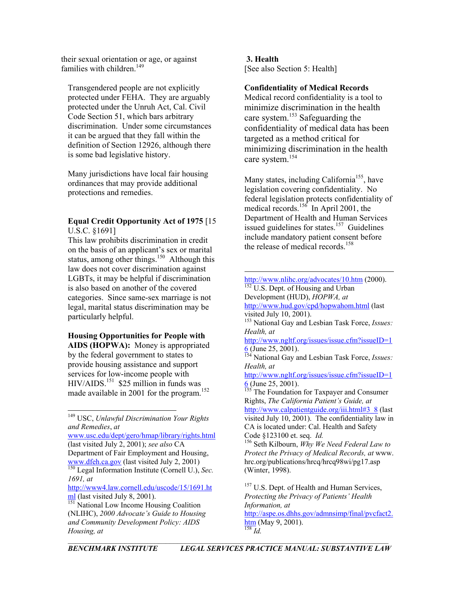their sexual orientation or age, or against **3. Health**<br>
families with children.<sup>149</sup> [See also S

Transgendered people are not explicitly **Confidentiality of Medical Records**  protected under FEHA. They are arguably protected under the Unruh Act, Cal. Civil Code Section 51, which bars arbitrary discrimination. Under some circumstances it can be argued that they fall within the definition of Section 12926, although there is some bad legislative history.

Many jurisdictions have local fair housing ordinances that may provide additional protections and remedies.

#### **Equal Credit Opportunity Act of 1975** [15 U.S.C. §1691]

This law prohibits discrimination in credit on the basis of an applicant's sex or marital status, among other things.<sup>150</sup> Although this law does not cover discrimination against LGBTs, it may be helpful if discrimination is also based on another of the covered categories. Since same-sex marriage is not legal, marital status discrimination may be particularly helpful.

# **Housing Opportunities for People with**

**AIDS (HOPWA):** Money is appropriated by the federal government to states to provide housing assistance and support services for low-income people with  $HIV/AIDS.<sup>151</sup>$  \$25 million in funds was made available in 2001 for the program.<sup>[152](#page-14-3)</sup>

<span id="page-14-0"></span> 149 USC, *Unlawful Discrimination Your Rights and Remedies*, *at*

[www.usc.edu/dept/gero/hmap/library/rights.html](http://www.usc.edu/dept/gero/hmap/library/rights.html) (last visited July 2, 2001); *see also* CA Department of Fair Employment and Housing, www.dfeh.ca.gov (last visited July 2, 2001) [150](http://www.dfeh.ca.gov/) Legal Information Institute (Cornell U.), *Sec.* 

<span id="page-14-1"></span>*1691, at* [http://www4.law.cornell.edu/uscode/15/1691.ht](http://www4.law.cornell.edu/uscode/15/1691.html)<br>ml (last visited July 8, 2001).

 $\overline{\phantom{a}}$ 

[See also Section 5: Health]

Medical record confidentiality is a tool to minimize discrimination in the health care system. [153 S](#page-14-4)afeguarding the confidentiality of medical data has been targeted as a method critical for minimizing discrimination in the health care system. [154](#page-14-5) 

Many states, including California<sup>155</sup>, have legislation covering confidentiality. No federal legislation protects confidentiality of medical records.<sup>156</sup> In April 2001, the Department of Health and Human Services issued guidelines for states.<sup>157</sup> Guidelines include mandatory patient consent before the release of medical records.<sup>158</sup>

<span id="page-14-4"></span>visited July 10, 2001). 153 National Gay and Lesbian Task Force, *Issues: Health, at*

[http://www.ngltf.org/issues/issue.cfm?issueID=1](http://www.ngltf.org/issues/issue.cfm?issueID=16)<br> $6$  (June 25, 2001).

<span id="page-14-5"></span><sup>[15](http://www.ngltf.org/issues/issue.cfm?issueID=16)4</sup> National Gay and Lesbian Task Force, *Issues: Health, at*

[http://www.ngltf.org/issues/issue.cfm?issueID=1](http://www.ngltf.org/issues/issue.cfm?issueID=16)<br>6 (June 25, 2001).

<span id="page-14-6"></span>The Foundation for Taxpayer and Consumer Rights, *The California Patient's Guide, at* [http://www.calpatientguide.org/iii.html#3\\_8](http://www.calpatientguide.org/iii.html) (last visited July 10, 2001). The confidentiality law in CA is located under: Cal. Health and Safety Code §123100 et. seq. *Id.* 156 Seth Kilbourn, *Why We Need Federal Law to*

<span id="page-14-7"></span>*Protect the Privacy of Medical Records, at* www. hrc.org/publications/hrcq/hrcq98wi/pg17.asp (Winter, 1998).

<span id="page-14-8"></span><sup>157</sup> U.S. Dept. of Health and Human Services, *Protecting the Privacy of Patients' Health Information, at* [http://aspe.os.dhhs.gov/admnsimp/final/pvcfact2.](http://aspe.os.dhhs.gov/admnsimp/final/pvcfact2.htm)

<span id="page-14-9"></span>[htm](http://aspe.os.dhhs.gov/admnsimp/final/pvcfact2.htm) (May 9, 2001).  $\frac{158}{Id}$ .

<span id="page-14-2"></span> $\frac{151}{151}$  $\frac{151}{151}$  $\frac{151}{151}$  National Low Income Housing Coalition (NLIHC), *2000 Advocate's Guide to Housing and Community Development Policy: AIDS Housing, at*

<span id="page-14-3"></span><http://www.nlihc.org/advocates/10.htm>(2000).  $152$  U.S. Dept. of Housing and Urban

Development (HUD), *HOPWA, at*  <http://www.hud.gov/cpd/hopwahom.html>(last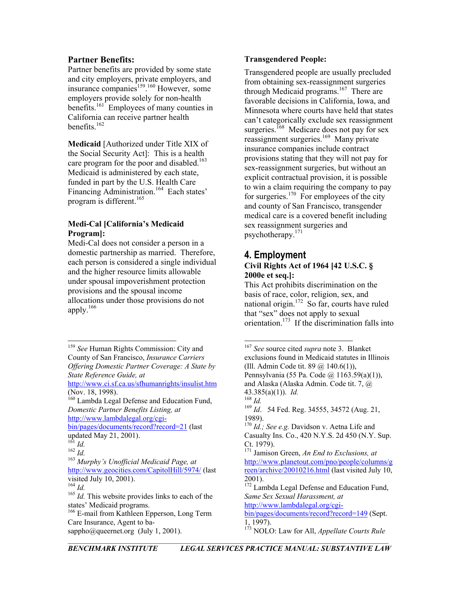#### **Partner Benefits:**

Partner benefits are provided by some state and city employers, private employers, and insurance companies<sup>159</sup>.<sup>[160](#page-15-1)</sup> However, some employers provide solely for non-health benefits.<sup>161</sup> Employees of many counties in California can receive partner health benefits $162$ 

**Medicaid** [Authorized under Title XIX of the Social Security Act]: This is a health care program for the poor and disabled.<sup>163</sup> Medicaid is administered by each state, funded in part by the U.S. Health Care Financing Administration.<sup>164</sup> Each states' program is different.<sup>165</sup>

### **Medi-Cal [California's Medicaid Program]:**

Medi-Cal does not consider a person in a domestic partnership as married. Therefore, each person is considered a single individual and the higher resource limits allowable under spousal impoverishment protection provisions and the spousal income allocations under those provisions do not apply. [166](#page-15-7) 

<span id="page-15-0"></span> 159 *See* Human Rights Commission: City and County of San Francisco, *Insurance Carriers Offering Domestic Partner Coverage: A State by State Reference Guide, at*

<http://www.ci.sf.ca.us/sfhumanrights/insulist.htm> (Nov. 18, 1998). 43.385(a)(1)). *Id.* 160 Lambda Legal Defense and Education Fund,

<span id="page-15-1"></span>*Domestic Partner Benefits Listing, at* [http://www.lambdalegal.org/cgi-](http://www.lambdalegal.org/cgi-bin/pages/documents/record?record=21)

[bin/pages/documents/record?record=21](http://www.lambdalegal.org/cgi-bin/pages/documents/record?record=21) (last updated May 21, 2001).<br> $^{161}$  *Id.* 

<span id="page-15-4"></span><sup>163</sup> *Murphy's Unofficial Medicaid Page, at* <http://www.geocities.com/CapitolHill/5974/>(last

<span id="page-15-6"></span><sup>165</sup> *Id.* This website provides links to each of the states' Medicaid programs.

<span id="page-15-7"></span><sup>166</sup> E-mail from Kathleen Epperson, Long Term Care Insurance, Agent to basappho@queernet.org (July 1, 2001). <sup>173</sup> NOLO: Law for All, *Appellate Courts Rule* 

#### **Transgendered People:**

Transgendered people are usually precluded from obtaining sex-reassignment surgeries through Medicaid programs.<sup>167</sup> There are favorable decisions in California, Iowa, and Minnesota where courts have held that states can't categorically exclude sex reassignment surgeries.<sup>168</sup> Medicare does not pay for sex reassignment surgeries.<sup>169</sup> Many private insurance companies include contract provisions stating that they will not pay for sex-reassignment surgeries, but without an explicit contractual provision, it is possible to win a claim requiring the company to pay for surgeries.<sup>170</sup> For employees of the city and county of San Francisco, transgender medical care is a covered benefit including sex reassignment surgeries and psychotherapy.[171](#page-15-12)

## **4. Employment Civil Rights Act of 1964 [42 U.S.C. § 2000e et seq.]:**

<span id="page-15-9"></span><span id="page-15-8"></span>This Act prohibits discrimination on the basis of race, color, religion, sex, and national origin. [172](#page-15-13) So far, courts have ruled that "sex" does not apply to sexual orientation.<sup>173</sup> If the discrimination falls into

<span id="page-15-2"></span>

<span id="page-15-3"></span>

<span id="page-15-5"></span>

<sup>167</sup> *See* source cited *supra* note 3. Blanket exclusions found in Medicaid statutes in Illinois (Ill. Admin Code tit. 89 @ 140.6(1)), Pennsylvania (55 Pa. Code @ 1163.59(a)(1)), and Alaska (Alaska Admin. Code tit. 7, @ <sup>168</sup> *Id.* <sup>169</sup> *Id*. 54 Fed. Reg. 34555, 34572 (Aug. 21, 1989). 170 *Id.; See e.g.* Davidson v. Aetna Life and Casualty Ins. Co., 420 N.Y.S. 2d 450 (N.Y. Sup. <sup>161</sup> *Id.* **Ct. 1979**). **Ct. 1979**. **Ct. 1979**. **162** *Id.* 162 *Id.* 162 *Id.* 162 *Id.* 171 **Jamison Green**, *An End to Exclusions, at* [http://www.planetout.com/pno/people/columns/g](http://www.planetout.com/pno/people/columns/green/archive/20010216.html) [reen/archive/20010216.html](http://www.planetout.com/pno/people/columns/green/archive/20010216.html) (last visited July 10, 2001). visited July 10, 2001). 2001). 2001). 2001). 1<sup>172</sup> Lambda Legal Defense and Education Fund, *Same Sex Sexual Harassment, at* [http://www.lambdalegal.org/cgi](http://www.lambdalegal.org/cgi-bin/pages/documents/record?record=149)[bin/pages/documents/record?record=149](http://www.lambdalegal.org/cgi-bin/pages/documents/record?record=149) (Sept. 1, 1997).

<span id="page-15-14"></span><span id="page-15-13"></span><span id="page-15-12"></span><span id="page-15-11"></span><span id="page-15-10"></span>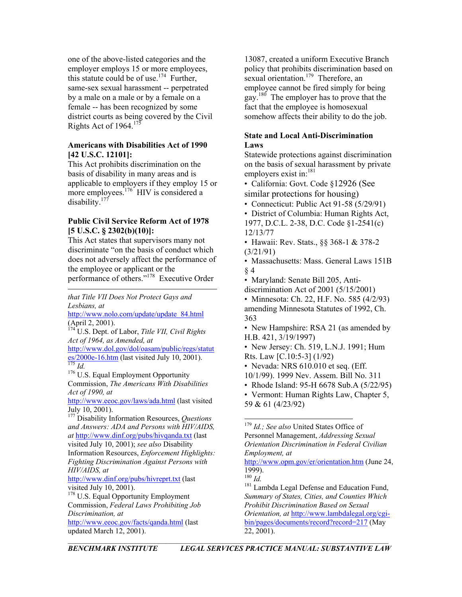one of the above-listed categories and the employer employs 15 or more employees, this statute could be of use.<sup>174</sup> Further, same-sex sexual harassment -- perpetrated by a male on a male or by a female on a female -- has been recognized by some district courts as being covered by the Civil Rights Act of  $1964.<sup>175</sup>$ 

#### **Americans with Disabilities Act of 1990 [42 U.S.C. 12101]:**

This Act prohibits discrimination on the basis of disability in many areas and is applicable to employers if they employ 15 or more employees.<sup>176</sup> HIV is considered a disability.<sup>[177](#page-16-3)</sup>

#### **Public Civil Service Reform Act of 1978 [5 U.S.C. § 2302(b)(10)]:**

This Act states that supervisors many not discriminate "on the basis of conduct which does not adversely affect the performance of the employee or applicant or the performance of others."[178](#page-16-4) Executive Order

*that Title VII Does Not Protect Gays and Lesbians, at*

[http://www.nolo.com/update/update\\_84.html](http://www.nolo.com/update/update_84.html)  $\overline{\text{(April 2, 2001)}$ .

<span id="page-16-0"></span>U.S. Dept. of Labor, *Title VII, Civil Rights Act of 1964, as Amended, at* [http://www.dol.gov/dol/oasam/public/regs/statut](http://www.dol.gov/dol/oasam/public/regs/statutes/2000e-16.htm)

 $\frac{1}{175}$  [es/2000e-16.htm](http://www.dol.gov/dol/oasam/public/regs/statutes/2000e-16.htm) (last visited July 10, 2001).

<span id="page-16-2"></span><span id="page-16-1"></span><sup>176</sup> U.S. Equal Employment Opportunity Commission, *The Americans With Disabilities Act of 1990, at*

<http://www.eeoc.gov/laws/ada.html> (last visited July 10, 2001).

<span id="page-16-3"></span>177 Disability Information Resources, *Questions and Answers: ADA and Persons with HIV/AIDS, at* <http://www.dinf.org/pubs/hivqanda.txt> (last visited July 10, 2001); *see also* Disability Information Resources, *Enforcement Highlights: Fighting Discrimination Against Persons with*

*HIV/AIDS, at* 1999)<br>
<u><http://www.dinf.org/pubs/hivreprt.txt></u> (last <sup>180</sup> *Id.* visited July 10, 2001).

<span id="page-16-4"></span><sup>178</sup> U.S. Equal Opportunity Employment Commission, *Federal Laws Prohibiting Job Discrimination, at*

<http://www.eeoc.gov/facts/qanda.html> (last updated March 12, 2001).

13087, created a uniform Executive Branch policy that prohibits discrimination based on sexual orientation.<sup>179</sup> Therefore, an employee cannot be fired simply for being gay.<sup>180</sup> The employer has to prove that the fact that the employee is homosexual somehow affects their ability to do the job.

#### **State and Local Anti-Discrimination Laws**

Statewide protections against discrimination on the basis of sexual harassment by private employers exist in:<sup>[181](#page-16-7)</sup>

- California: Govt. Code §12926 (See similar protections for housing)
- Connecticut: Public Act 91-58 (5/29/91)
- District of Columbia: Human Rights Act,
- 1977, D.C.L. 2-38, D.C. Code §1-2541(c) 12/13/77
- Hawaii: Rev. Stats., §§ 368-1 & 378-2 (3/21/91)
- Massachusetts: Mass. General Laws 151B § 4
- Maryland: Senate Bill 205, Anti-
- discrimination Act of 2001 (5/15/2001)
- Minnesota: Ch. 22, H.F. No. 585 (4/2/93) amending Minnesota Statutes of 1992, Ch. 363
- New Hampshire: RSA 21 (as amended by H.B. 421, 3/19/1997)
- New Jersey: Ch. 519, L.N.J. 1991; Hum Rts. Law [C.10:5-3] (1/92)
- Nevada: NRS 610.010 et seq. (Eff.
- 10/1/99). 1999 Nev. Assem. Bill No. 311
- Rhode Island: 95-H 6678 Sub.A (5/22/95)

• Vermont: Human Rights Law, Chapter 5, 59 & 61 (4/23/92)

<span id="page-16-5"></span> 179 *Id.; See also* United States Office of Personnel Management, *Addressing Sexual Orientation Discrimination in Federal Civilian Employment, at* <http://www.opm.gov/er/orientation.htm> (June 24,  $1999$ ).<br> $180$  *Id.* 

<span id="page-16-6"></span>

<span id="page-16-7"></span><sup>181</sup> Lambda Legal Defense and Education Fund, *Summary of States, Cities, and Counties Which Prohibit Discrimination Based on Sexual Orientation, at* [http://www.lambdalegal.org/cgi](http://www.lambdalegal.org/cgi-bin/pages/documents/record?record=217)[bin/pages/documents/record?record=217](http://www.lambdalegal.org/cgi-bin/pages/documents/record?record=217) (May 22, 2001).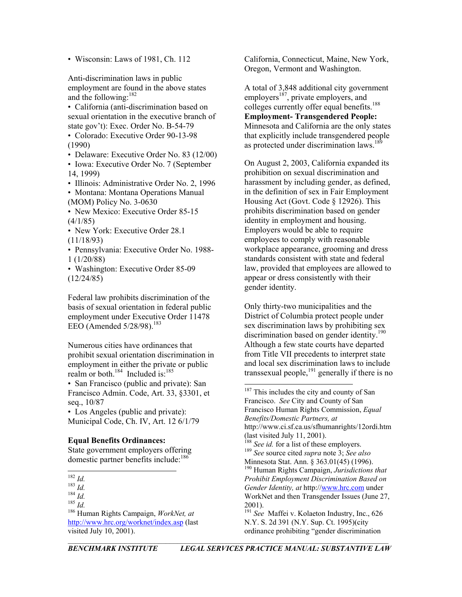Anti-discrimination laws in public employment are found in the above states and the following:[182](#page-17-0)

sexual orientation in the executive branch of state gov't): Exec. Order No. B-54-79

• Colorado: Executive Order 90-13-98 (1990)

• Delaware: Executive Order No. 83 (12/00)

• Iowa: Executive Order No. 7 (September 14, 1999)

• Illinois: Administrative Order No. 2, 1996

• Montana: Montana Operations Manual (MOM) Policy No. 3-0630

• New Mexico: Executive Order 85-15  $(4/1/85)$ 

• New York: Executive Order 28.1 (11/18/93)

• Pennsylvania: Executive Order No. 1988- 1 (1/20/88)

• Washington: Executive Order 85-09  $(12/24/85)$ 

Federal law prohibits discrimination of the basis of sexual orientation in federal public employment under Executive Order 11478 EEO (Amended  $5/28/98$ ).<sup>183</sup>

Numerous cities have ordinances that prohibit sexual orientation discrimination in employment in either the private or public realm or both.<sup>184</sup> Included is:<sup>185</sup>

• San Francisco (public and private): San Francisco Admin. Code, Art. 33, §3301, et seq., 10/87

• Los Angeles (public and private): Municipal Code, Ch. IV, Art. 12 6/1/79

State government employers offering domestic partner benefits include:<sup>186</sup>

<span id="page-17-4"></span>186 Human Rights Campaign, *WorkNet, at* <http://www.hrc.org/worknet/index.asp> (last visited July 10, 2001).

• Wisconsin: Laws of 1981, Ch. 112 California, Connecticut, Maine, New York, Oregon, Vermont and Washington.

A total of 3,848 additional city government employers<sup>187</sup>, private employers, and • California (anti-discrimination based on colleges currently offer equal benefits.<sup>[188](#page-17-6)</sup> **Employment- Transgendered People:** Minnesota and California are the only states that explicitly include transgendered people as protected under discrimination laws.<sup>189</sup>

> On August 2, 2003, California expanded its prohibition on sexual discrimination and harassment by including gender, as defined, in the definition of sex in Fair Employment Housing Act (Govt. Code § 12926). This prohibits discrimination based on gender identity in employment and housing. Employers would be able to require employees to comply with reasonable workplace appearance, grooming and dress standards consistent with state and federal law, provided that employees are allowed to appear or dress consistently with their gender identity.

<span id="page-17-5"></span>Only thirty-two municipalities and the District of Columbia protect people under sex discrimination laws by prohibiting sex discrimination based on gender identity.<sup>190</sup> Although a few state courts have departed from Title VII precedents to interpret state and local sex discrimination laws to include transsexual people,<sup>191</sup> generally if there is no

<span id="page-17-9"></span><span id="page-17-8"></span><span id="page-17-7"></span><span id="page-17-6"></span>ordinance prohibiting "gender discrimination

<span id="page-17-0"></span> <sup>182</sup> *Id.* 183 *Id.* 184 *Id.* 185 *Id.*

<span id="page-17-1"></span>

<span id="page-17-2"></span>

<span id="page-17-3"></span>

<sup>&</sup>lt;sup>187</sup> This includes the city and county of San Francisco. *See* City and County of San Francisco Human Rights Commission, *Equal Benefits/Domestic Partners, at*  http://www.ci.sf.ca.us/sfhumanrights/12ordi.htm (last visited July 11, 2001). **Equal Benefits Ordinances:** <sup>188</sup> *See id.* for a list of these employers. <sup>189</sup> *See* source cited *supra* note 3; *See also* <sup>190</sup> Human Rights Campaign, *Jurisdictions that Prohibit Employment Discrimination Based on Gender Identity, at* http:/[/www.hrc.com](http://www.hrc.com/) under WorkNet and then Transgender Issues (June 27, 2001). <sup>191</sup> *See* Maffei v. Kolaeton Industry, Inc., 626 N.Y. S. 2d 391 (N.Y. Sup. Ct. 1995)(city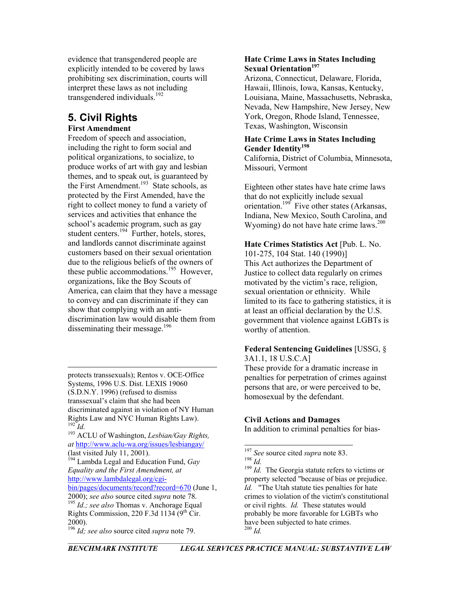evidence that transgendered people are explicitly intended to be covered by laws prohibiting sex discrimination, courts will interpret these laws as not including transgendered individuals.<sup>192</sup>

# **5. Civil Rights**

# **First Amendment**

Freedom of speech and association, including the right to form social and political organizations, to socialize, to produce works of art with gay and lesbian themes, and to speak out, is guaranteed by the First Amendment.<sup>193</sup> State schools, as protected by the First Amended, have the right to collect money to fund a variety of services and activities that enhance the school's academic program, such as gay student centers.<sup>194</sup> Further, hotels, stores, and landlords cannot discriminate against customers based on their sexual orientation due to the religious beliefs of the owners of these public accommodations.<sup>195</sup> However, organizations, like the Boy Scouts of America, can claim that they have a message to convey and can discriminate if they can show that complying with an antidiscrimination law would disable them from disseminating their message. $196$ 

protects transsexuals); Rentos v. OCE-Office Systems, 1996 U.S. Dist. LEXIS 19060 (S.D.N.Y. 1996) (refused to dismiss transsexual's claim that she had been discriminated against in violation of NY Human Rights Law and NYC Human Rights Law). **Civil Actions and Damages**

<span id="page-18-1"></span><span id="page-18-0"></span>In addition to criminal penalties for bias- <sup>192</sup> *Id.* <sup>193</sup> ACLU of Washington, *Lesbian/Gay Rights, at* <http://www.aclu-wa.org/issues/lesbiangay/>

<span id="page-18-2"></span>(last visited July 11, 2001).<br><sup>194</sup> Lambda Legal and Education Fund, *Gay Equality and the First Amendment, at* [http://www.lambdalegal.org/cgi-](http://www.lambdalegal.org/cgi-bin/pages/documents/record?record=670)

<span id="page-18-3"></span>[bin/pages/documents/record?record=670](http://www.lambdalegal.org/cgi-bin/pages/documents/record?record=670) (June 1, 2000); *see also* source cited *supra* note 78. <sup>195</sup> *Id.; see also* Thomas v. Anchorage Equal Rights Commission, 220 F.3d 1134 ( $9<sup>th</sup>$  Cir. 2000).

### **Hate Crime Laws in States Including Sexual Orientation[197](#page-18-5)**

Arizona, Connecticut, Delaware, Florida, Hawaii, Illinois, Iowa, Kansas, Kentucky, Louisiana, Maine, Massachusetts, Nebraska, Nevada, New Hampshire, New Jersey, New York, Oregon, Rhode Island, Tennessee, Texas, Washington, Wisconsin

#### **Hate Crime Laws in States Including Gender Identity[198](#page-18-6)**

California, District of Columbia, Minnesota, Missouri, Vermont

Eighteen other states have hate crime laws that do not explicitly include sexual orientation[.199](#page-18-7) Five other states (Arkansas, Indiana, New Mexico, South Carolina, and Wyoming) do not have hate crime laws. $200$ 

**Hate Crimes Statistics Act** [Pub. L. No. 101-275, 104 Stat. 140 (1990)] This Act authorizes the Department of Justice to collect data regularly on crimes motivated by the victim's race, religion, sexual orientation or ethnicity. While limited to its face to gathering statistics, it is at least an official declaration by the U.S. government that violence against LGBTs is worthy of attention.

# **Federal Sentencing Guidelines** [USSG, §

3A1.1, 18 U.S.C.A] These provide for a dramatic increase in penalties for perpetration of crimes against persons that are, or were perceived to be, homosexual by the defendant.

<span id="page-18-4"></span><sup>&</sup>lt;sup>196</sup> *Id*; see also source cited *supra* note 79.

<span id="page-18-5"></span><sup>&</sup>lt;sup>197</sup> *See* source cited *supra* note 83. <sup>198</sup> *Id.* 

<span id="page-18-8"></span><span id="page-18-7"></span><span id="page-18-6"></span><sup>&</sup>lt;sup>199</sup> *Id.* The Georgia statute refers to victims or property selected "because of bias or prejudice. *Id.* "The Utah statute ties penalties for hate crimes to violation of the victim's constitutional or civil rights. *Id.* These statutes would probably be more favorable for LGBTs who have been subjected to hate crimes.<br> $\frac{200}{1}$  *Id.*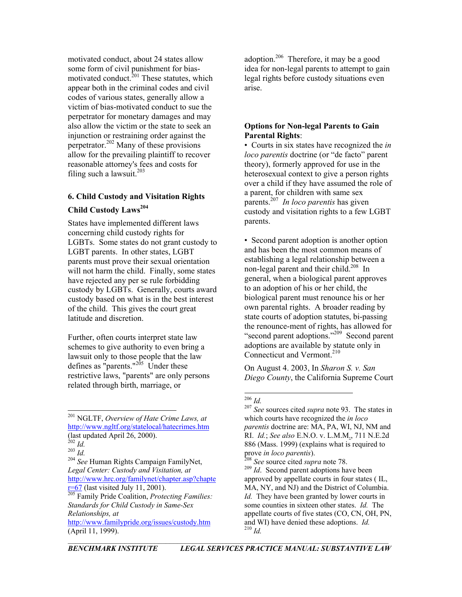motivated conduct, about 24 states allow some form of civil punishment for biasmotivated conduct. $^{201}$  These statutes, which appear both in the criminal codes and civil codes of various states, generally allow a victim of bias-motivated conduct to sue the perpetrator for monetary damages and may also allow the victim or the state to seek an injunction or restraining order against the perpetrator.[202](#page-19-1) Many of these provisions allow for the prevailing plaintiff to recover reasonable attorney's fees and costs for filing such a lawsuit.<sup>[203](#page-19-2)</sup>

### **6. Child Custody and Visitation Rights**

### **Child Custody Laws[204](#page-19-3)**

States have implemented different laws concerning child custody rights for LGBTs. Some states do not grant custody to LGBT parents. In other states, LGBT parents must prove their sexual orientation will not harm the child. Finally, some states have rejected any per se rule forbidding custody by LGBTs. Generally, courts award custody based on what is in the best interest of the child. This gives the court great latitude and discretion.

Further, often courts interpret state law schemes to give authority to even bring a lawsuit only to those people that the law defines as "parents." $^{205}$  Under these restrictive laws, "parents" are only persons related through birth, marriage, or

<span id="page-19-0"></span> 201 NGLTF, *Overview of Hate Crime Laws, at*  <http://www.ngltf.org/statelocal/hatecrimes.htm> (last updated April 26, 2000). <sup>202</sup> *Id.* <sup>203</sup> *Id.* <sup>204</sup> *See* Human Rights Campaign FamilyNet,

<span id="page-19-3"></span>*Legal Center: Custody and Visitation, at* [http://www.hrc.org/familynet/chapter.asp?chapte](http://www.hrc.org/familynet/chapter.asp?chapter=67)  $r=67$  (last visited July 11, 2001).

<span id="page-19-4"></span>205 Family Pride Coalition, *Protecting Families: Standards for Child Custody in Same-Sex Relationships, at* <http://www.familypride.org/issues/custody.htm>

adoption.<sup>206</sup> Therefore, it may be a good idea for non-legal parents to attempt to gain legal rights before custody situations even arise.

#### **Options for Non-legal Parents to Gain Parental Rights**:

• Courts in six states have recognized the *in loco parentis* doctrine (or "de facto" parent theory), formerly approved for use in the heterosexual context to give a person rights over a child if they have assumed the role of a parent, for children with same sex parents.[207](#page-19-6) *In loco parentis* has given custody and visitation rights to a few LGBT parents.

• Second parent adoption is another option and has been the most common means of establishing a legal relationship between a non-legal parent and their child.[208](#page-19-7) In general, when a biological parent approves to an adoption of his or her child, the biological parent must renounce his or her own parental rights. A broader reading by state courts of adoption statutes, bi-passing the renounce-ment of rights, has allowed for "second parent adoptions."<sup>209</sup> Second parent adoptions are available by statute only in Connecticut and Vermont.<sup>210</sup>

On August 4. 2003, In *Sharon S. v. San Diego County*, the California Supreme Court

<span id="page-19-9"></span><span id="page-19-8"></span><sup>209</sup> *Id*. Second parent adoptions have been approved by appellate courts in four states ( IL, MA, NY, and NJ) and the District of Columbia. *Id.* They have been granted by lower courts in some counties in sixteen other states. *Id.* The appellate courts of five states (CO, CN, OH, PN, and WI) have denied these adoptions. *Id.*

<span id="page-19-1"></span>

<span id="page-19-2"></span>

<sup>(</sup>April 11, 1999). <sup>210</sup> *Id.*

<span id="page-19-6"></span><span id="page-19-5"></span>

<sup>206</sup> *Id.* <sup>207</sup> *See* sources cited *supra* note 93. The states in which courts have recognized the *in loco parentis* doctrine are: MA, PA, WI, NJ, NM and RI. *Id.*; *See also* E.N.O. v. L.M.M., 711 N.E.2d 886 (Mass. 1999) (explains what is required to

<span id="page-19-7"></span>prove *in loco parentis*).<br><sup>208</sup> *See source cited supra note 78*.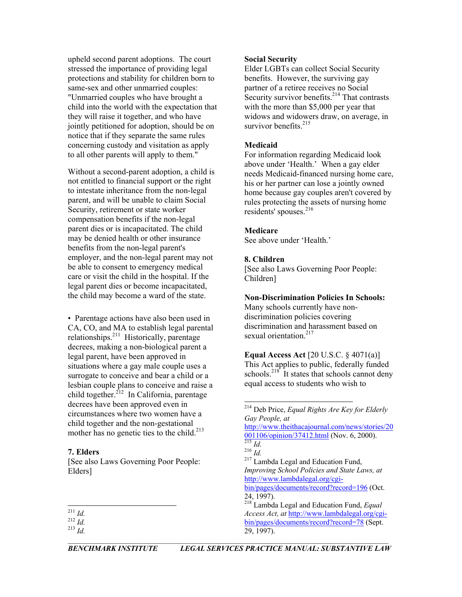upheld second parent adoptions. The court **Social Security**  stressed the importance of providing legal protections and stability for children born to same-sex and other unmarried couples: "Unmarried couples who have brought a child into the world with the expectation that they will raise it together, and who have jointly petitioned for adoption, should be on notice that if they separate the same rules concerning custody and visitation as apply to all other parents will apply to them."

Without a second-parent adoption, a child is not entitled to financial support or the right to intestate inheritance from the non-legal parent, and will be unable to claim Social Security, retirement or state worker compensation benefits if the non-legal parent dies or is incapacitated. The child may be denied health or other insurance benefits from the non-legal parent's employer, and the non-legal parent may not be able to consent to emergency medical care or visit the child in the hospital. If the legal parent dies or become incapacitated, the child may become a ward of the state.

• Parentage actions have also been used in CA, CO, and MA to establish legal parental relationships.<sup>211</sup> Historically, parentage decrees, making a non-biological parent a legal parent, have been approved in situations where a gay male couple uses a surrogate to conceive and bear a child or a lesbian couple plans to conceive and raise a child together.<sup>212</sup> In California, parentage decrees have been approved even in circumstances where two women have a child together and the non-gestational mother has no genetic ties to the child. $213$ 

#### **7. Elders**

[See also Laws Governing Poor People: Elders]

Elder LGBTs can collect Social Security benefits. However, the surviving gay partner of a retiree receives no Social Security survivor benefits.<sup>214</sup> That contrasts with the more than \$5,000 per year that widows and widowers draw, on average, in survivor benefits.<sup>[215](#page-20-4)</sup>

#### **Medicaid**

For information regarding Medicaid look above under 'Health.' When a gay elder needs Medicaid-financed nursing home care, his or her partner can lose a jointly owned home because gay couples aren't covered by rules protecting the assets of nursing home residents' spouses.<sup>[216](#page-20-5)</sup>

#### **Medicare**

See above under 'Health.'

#### **8. Children**

[See also Laws Governing Poor People: Children]

#### **Non-Discrimination Policies In Schools:**

Many schools currently have nondiscrimination policies covering discrimination and harassment based on sexual orientation.<sup>217</sup>

**Equal Access Act** [20 U.S.C. § 4071(a)] This Act applies to public, federally funded schools.<sup>218</sup> It states that schools cannot deny equal access to students who wish to

[http://www.theithacajournal.com/news/stories/20](http://www.theithacajournal.com/news/stories/20001106/opinion/37412.html) [001106/opinion/37412.html](http://www.theithacajournal.com/news/stories/20001106/opinion/37412.html) (Nov. 6, 2000).<br><sup>[215](http://www.theithacajournal.com/news/stories/20001106/opinion/37412.html)</sup> *Id.* <sup>216</sup> *Id.* <sup>217</sup> Lambda Legal and Education Fund,

<span id="page-20-6"></span>*Improving School Policies and State Laws, at* [http://www.lambdalegal.org/cgi](http://www.lambdalegal.org/cgi-bin/pages/documents/record?record=196)[bin/pages/documents/record?record=196](http://www.lambdalegal.org/cgi-bin/pages/documents/record?record=196) (Oct.

<span id="page-20-7"></span>24, 1997).

 $\overline{\phantom{a}}$ 

<span id="page-20-1"></span><span id="page-20-0"></span><sup>211</sup> *Id.* 212 *Id.*

<span id="page-20-2"></span>

<span id="page-20-3"></span> <sup>214</sup> Deb Price, *Equal Rights Are Key for Elderly Gay People, at*

<span id="page-20-5"></span><span id="page-20-4"></span>

<sup>218</sup> Lambda Legal and Education Fund, *Equal Access Act, at* [http://www.lambdalegal.org/cgi](http://www.lambdalegal.org/cgi-bin/pages/documents/record?record=78)[bin/pages/documents/record?record=78](http://www.lambdalegal.org/cgi-bin/pages/documents/record?record=78) (Sept. 29, 1997). <sup>213</sup> *Id.*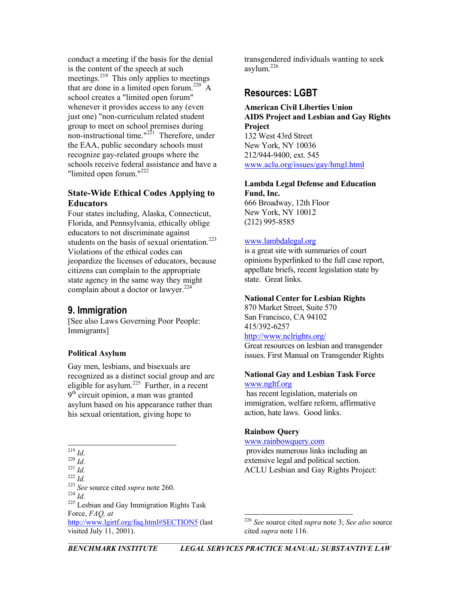conduct a meeting if the basis for the denial is the content of the speech at such meetings.<sup>219</sup> This only applies to meetings that are done in a limited open forum. [220](#page-21-1) A school creates a "limited open forum" whenever it provides access to any (even just one) "non-curriculum related student group to meet on school premises during non-instructional time." $2^{21}$  Therefore, under the EAA, public secondary schools must recognize gay-related groups where the schools receive federal assistance and have a "limited open forum."<sup>[222](#page-21-3)</sup>

#### **State-Wide Ethical Codes Applying to Educators**

Four states including, Alaska, Connecticut, Florida, and Pennsylvania, ethically oblige educators to not discriminate against students on the basis of sexual orientation.<sup>223</sup> Violations of the ethical codes can jeopardize the licenses of educators, because citizens can complain to the appropriate state agency in the same way they might complain about a doctor or lawyer. $224$ 

# **9. Immigration**

[See also Laws Governing Poor People: Immigrants]

#### **Political Asylum**

Gay men, lesbians, and bisexuals are recognized as a distinct social group and are eligible for asylum. [225](#page-21-6) Further, in a recent 9<sup>th</sup> circuit opinion, a man was granted asylum based on his appearance rather than his sexual orientation, giving hope to

<span id="page-21-6"></span><span id="page-21-5"></span><span id="page-21-4"></span><span id="page-21-3"></span><span id="page-21-2"></span><span id="page-21-1"></span><span id="page-21-0"></span>[www.rainbowquery.com](http://www.rainbowquery.com/)<br>
<sup>219</sup> Id provides numerous links 219 *Id.* 220 *Id.* 221 *Id.* 222 *Id.* 222 *Id.* 222 *Id.* 222 *Id.* 223 *See* source cited *supra* note 260. 224 *Id.* 225 Lesbian and Gay Immigration Rights Task Force, *FAQ, at* [http://www.lgirtf.org/faq.html#SECTION5](http://www.lgirtf.org/faq.html) (last visited July 11, 2001).

transgendered individuals wanting to seek asylum. [226](#page-21-7) 

# **Resources: LGBT**

**American Civil Liberties Union AIDS Project and Lesbian and Gay Rights Project**  132 West 43rd Street New York, NY 10036 212/944-9400, ext. 545

[www.aclu.org/issues/gay/hmgl.html](http://www.aclu.org/issues/gay/hmgl.html)

#### **Lambda Legal Defense and Education Fund, Inc.**

666 Broadway, 12th Floor New York, NY 10012 (212) 995-8585

#### [www.lambdalegal.org](http://www.lambdalegal.org/)

is a great site with summaries of court opinions hyperlinked to the full case report, appellate briefs, recent legislation state by state. Great links.

#### **National Center for Lesbian Rights**

870 Market Street, Suite 570 San Francisco, CA 94102 415/392-6257 <http://www.nclrights.org/>

Great resources on lesbian and transgender issues. First Manual on Transgender Rights

#### **National Gay and Lesbian Task Force** [www.ngltf.org](http://www.ngltf.org/)

 has recent legislation, materials on immigration, welfare reform, affirmative action, hate laws. Good links.

#### **Rainbow Query**

 provides numerous links including an extensive legal and political section.

l

<span id="page-21-7"></span><sup>226</sup> *See* source cited *supra* note 3; *See also* source cited *supra* note 116.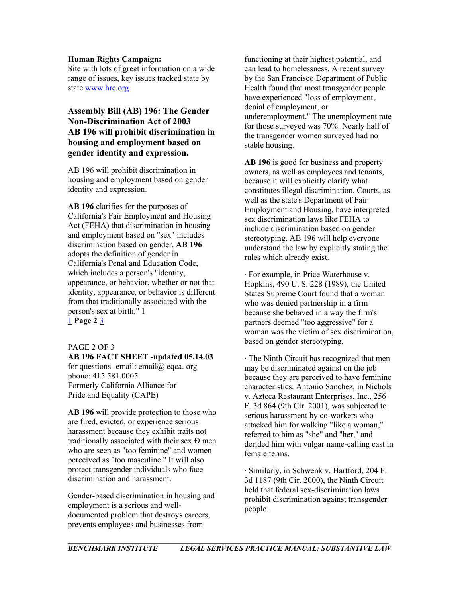#### **Human Rights Campaign:**

Site with lots of great information on a wide range of issues, key issues tracked state by state.[www.hrc.org](http://www.hrc.org/)

## **Assembly Bill (AB) 196: The Gender Non-Discrimination Act of 2003 AB 196 will prohibit discrimination in housing and employment based on gender identity and expression.**

AB 196 will prohibit discrimination in housing and employment based on gender identity and expression.

**AB 196** clarifies for the purposes of California's Fair Employment and Housing Act (FEHA) that discrimination in housing and employment based on "sex" includes discrimination based on gender. **AB 196** adopts the definition of gender in California's Penal and Education Code, which includes a person's "identity, appearance, or behavior, whether or not that identity, appearance, or behavior is different from that traditionally associated with the person's sex at birth." 1 [1](http://access.adobe.com/perl/) **Page 2** [3](http://access.adobe.com/perl/)

#### PAGE 2 OF 3

**AB 196 FACT SHEET -updated 05.14.03**  for questions -email: email $\omega$  eqca. org phone: 415.581.0005 Formerly California Alliance for Pride and Equality (CAPE)

**AB 196** will provide protection to those who are fired, evicted, or experience serious harassment because they exhibit traits not traditionally associated with their sex Ð men who are seen as "too feminine" and women perceived as "too masculine." It will also protect transgender individuals who face discrimination and harassment.

Gender-based discrimination in housing and employment is a serious and welldocumented problem that destroys careers, prevents employees and businesses from

functioning at their highest potential, and can lead to homelessness. A recent survey by the San Francisco Department of Public Health found that most transgender people have experienced "loss of employment, denial of employment, or underemployment." The unemployment rate for those surveyed was 70%. Nearly half of the transgender women surveyed had no stable housing.

**AB 196** is good for business and property owners, as well as employees and tenants, because it will explicitly clarify what constitutes illegal discrimination. Courts, as well as the state's Department of Fair Employment and Housing, have interpreted sex discrimination laws like FEHA to include discrimination based on gender stereotyping. AB 196 will help everyone understand the law by explicitly stating the rules which already exist.

· For example, in Price Waterhouse v. Hopkins, 490 U. S. 228 (1989), the United States Supreme Court found that a woman who was denied partnership in a firm because she behaved in a way the firm's partners deemed "too aggressive" for a woman was the victim of sex discrimination, based on gender stereotyping.

· The Ninth Circuit has recognized that men may be discriminated against on the job because they are perceived to have feminine characteristics. Antonio Sanchez, in Nichols v. Azteca Restaurant Enterprises, Inc., 256 F. 3d 864 (9th Cir. 2001), was subjected to serious harassment by co-workers who attacked him for walking "like a woman," referred to him as "she" and "her," and derided him with vulgar name-calling cast in female terms.

· Similarly, in Schwenk v. Hartford, 204 F. 3d 1187 (9th Cir. 2000), the Ninth Circuit held that federal sex-discrimination laws prohibit discrimination against transgender people.